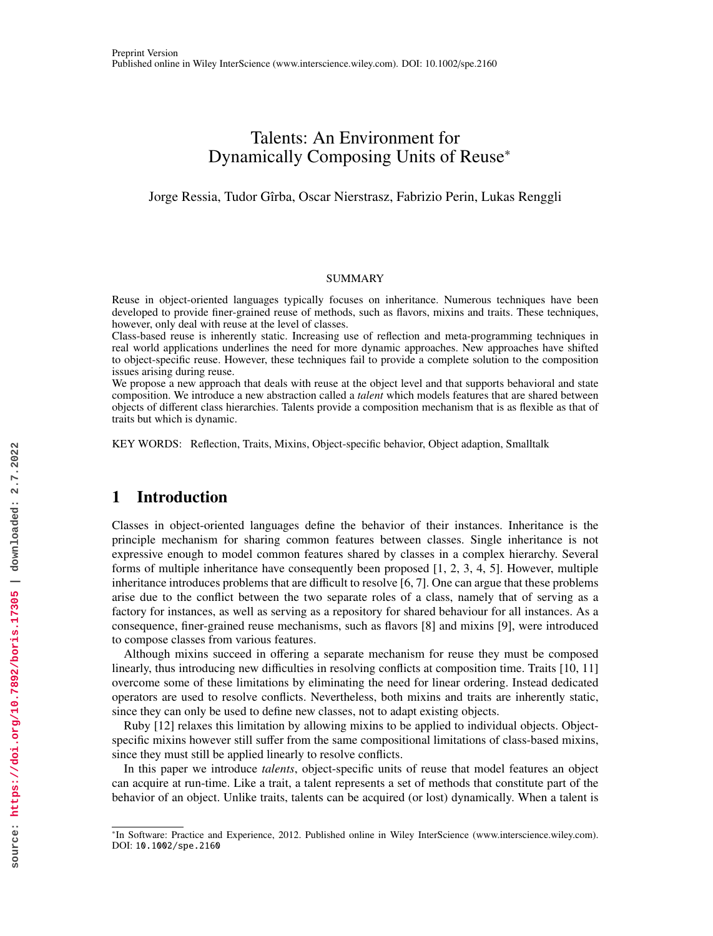# Talents: An Environment for Dynamically Composing Units of Reuse<sup>∗</sup>

Jorge Ressia, Tudor Gîrba, Oscar Nierstrasz, Fabrizio Perin, Lukas Renggli

#### SUMMARY

Reuse in object-oriented languages typically focuses on inheritance. Numerous techniques have been developed to provide finer-grained reuse of methods, such as flavors, mixins and traits. These techniques, however, only deal with reuse at the level of classes.

Class-based reuse is inherently static. Increasing use of reflection and meta-programming techniques in real world applications underlines the need for more dynamic approaches. New approaches have shifted to object-specific reuse. However, these techniques fail to provide a complete solution to the composition issues arising during reuse.

We propose a new approach that deals with reuse at the object level and that supports behavioral and state composition. We introduce a new abstraction called a *talent* which models features that are shared between objects of different class hierarchies. Talents provide a composition mechanism that is as flexible as that of traits but which is dynamic.

KEY WORDS: Reflection, Traits, Mixins, Object-specific behavior, Object adaption, Smalltalk

## 1 Introduction

Classes in object-oriented languages define the behavior of their instances. Inheritance is the principle mechanism for sharing common features between classes. Single inheritance is not expressive enough to model common features shared by classes in a complex hierarchy. Several forms of multiple inheritance have consequently been proposed [1, 2, 3, 4, 5]. However, multiple inheritance introduces problems that are difficult to resolve [6, 7]. One can argue that these problems arise due to the conflict between the two separate roles of a class, namely that of serving as a factory for instances, as well as serving as a repository for shared behaviour for all instances. As a consequence, finer-grained reuse mechanisms, such as flavors [8] and mixins [9], were introduced to compose classes from various features.

Although mixins succeed in offering a separate mechanism for reuse they must be composed linearly, thus introducing new difficulties in resolving conflicts at composition time. Traits [10, 11] overcome some of these limitations by eliminating the need for linear ordering. Instead dedicated operators are used to resolve conflicts. Nevertheless, both mixins and traits are inherently static, since they can only be used to define new classes, not to adapt existing objects.

Ruby [12] relaxes this limitation by allowing mixins to be applied to individual objects. Objectspecific mixins however still suffer from the same compositional limitations of class-based mixins, since they must still be applied linearly to resolve conflicts.

In this paper we introduce *talents*, object-specific units of reuse that model features an object can acquire at run-time. Like a trait, a talent represents a set of methods that constitute part of the behavior of an object. Unlike traits, talents can be acquired (or lost) dynamically. When a talent is

<sup>∗</sup> In Software: Practice and Experience, 2012. Published online in Wiley InterScience (www.interscience.wiley.com). DOI: [10.1002/spe.2160](http://dx.doi.org/10.1002/spe.2160)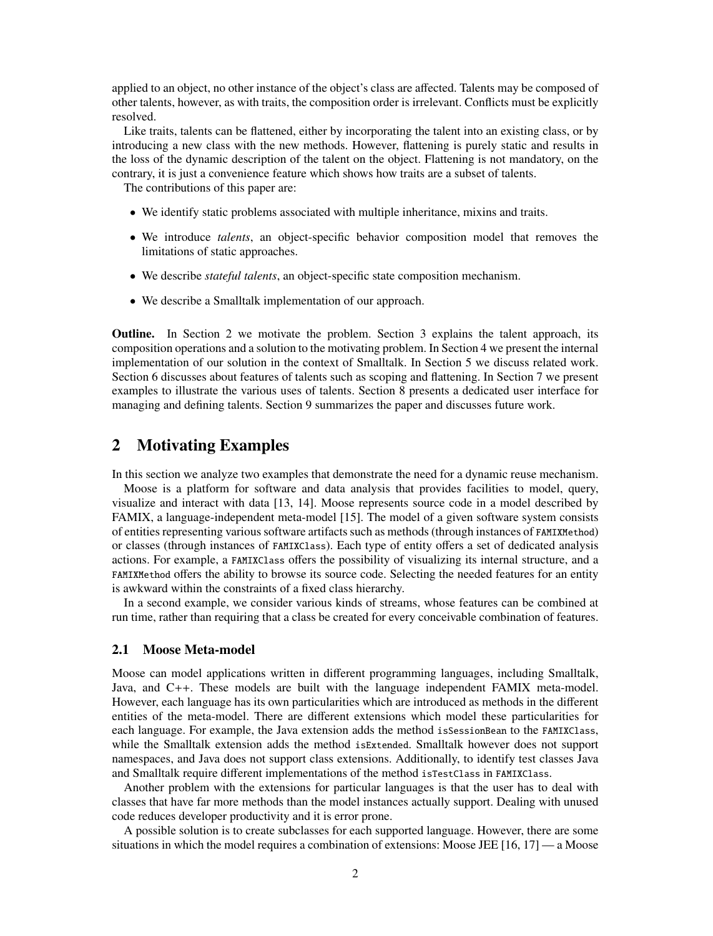applied to an object, no other instance of the object's class are affected. Talents may be composed of other talents, however, as with traits, the composition order is irrelevant. Conflicts must be explicitly resolved.

Like traits, talents can be flattened, either by incorporating the talent into an existing class, or by introducing a new class with the new methods. However, flattening is purely static and results in the loss of the dynamic description of the talent on the object. Flattening is not mandatory, on the contrary, it is just a convenience feature which shows how traits are a subset of talents.

The contributions of this paper are:

- We identify static problems associated with multiple inheritance, mixins and traits.
- We introduce *talents*, an object-specific behavior composition model that removes the limitations of static approaches.
- We describe *stateful talents*, an object-specific state composition mechanism.
- We describe a Smalltalk implementation of our approach.

Outline. In Section 2 we motivate the problem. Section 3 explains the talent approach, its composition operations and a solution to the motivating problem. In Section 4 we present the internal implementation of our solution in the context of Smalltalk. In Section 5 we discuss related work. Section 6 discusses about features of talents such as scoping and flattening. In Section 7 we present examples to illustrate the various uses of talents. Section 8 presents a dedicated user interface for managing and defining talents. Section 9 summarizes the paper and discusses future work.

## 2 Motivating Examples

In this section we analyze two examples that demonstrate the need for a dynamic reuse mechanism.

Moose is a platform for software and data analysis that provides facilities to model, query, visualize and interact with data [13, 14]. Moose represents source code in a model described by FAMIX, a language-independent meta-model [15]. The model of a given software system consists of entities representing various software artifacts such as methods (through instances of FAMIXMethod) or classes (through instances of FAMIXClass). Each type of entity offers a set of dedicated analysis actions. For example, a FAMIXClass offers the possibility of visualizing its internal structure, and a FAMIXMethod offers the ability to browse its source code. Selecting the needed features for an entity is awkward within the constraints of a fixed class hierarchy.

In a second example, we consider various kinds of streams, whose features can be combined at run time, rather than requiring that a class be created for every conceivable combination of features.

#### 2.1 Moose Meta-model

Moose can model applications written in different programming languages, including Smalltalk, Java, and C++. These models are built with the language independent FAMIX meta-model. However, each language has its own particularities which are introduced as methods in the different entities of the meta-model. There are different extensions which model these particularities for each language. For example, the Java extension adds the method isSessionBean to the FAMIXClass, while the Smalltalk extension adds the method isExtended. Smalltalk however does not support namespaces, and Java does not support class extensions. Additionally, to identify test classes Java and Smalltalk require different implementations of the method isTestClass in FAMIXClass.

Another problem with the extensions for particular languages is that the user has to deal with classes that have far more methods than the model instances actually support. Dealing with unused code reduces developer productivity and it is error prone.

A possible solution is to create subclasses for each supported language. However, there are some situations in which the model requires a combination of extensions: Moose JEE [16, 17] — a Moose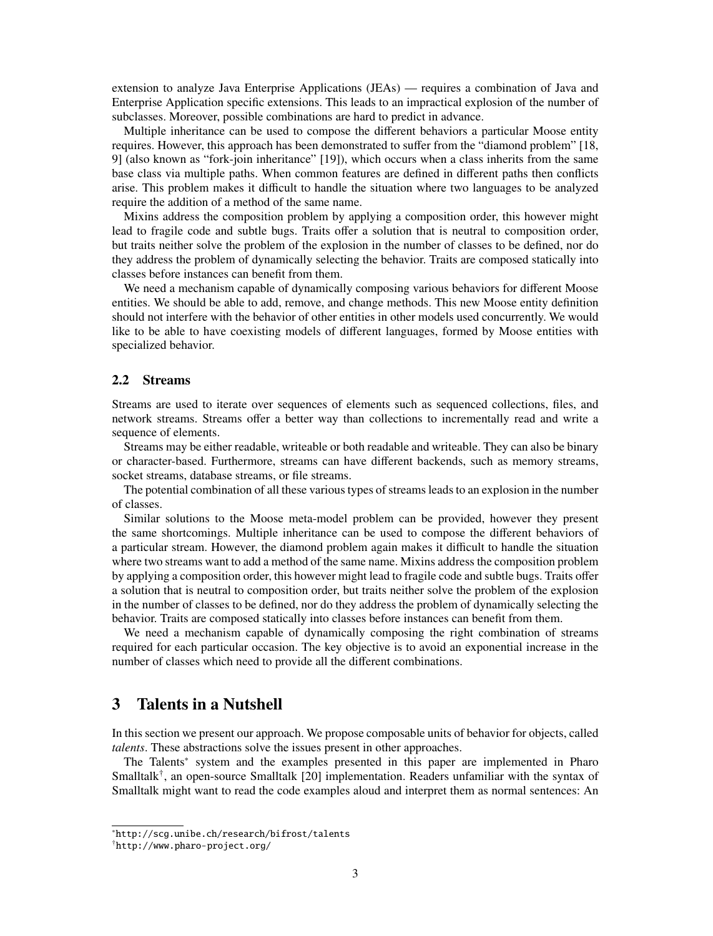extension to analyze Java Enterprise Applications (JEAs) — requires a combination of Java and Enterprise Application specific extensions. This leads to an impractical explosion of the number of subclasses. Moreover, possible combinations are hard to predict in advance.

Multiple inheritance can be used to compose the different behaviors a particular Moose entity requires. However, this approach has been demonstrated to suffer from the "diamond problem" [18, 9] (also known as "fork-join inheritance" [19]), which occurs when a class inherits from the same base class via multiple paths. When common features are defined in different paths then conflicts arise. This problem makes it difficult to handle the situation where two languages to be analyzed require the addition of a method of the same name.

Mixins address the composition problem by applying a composition order, this however might lead to fragile code and subtle bugs. Traits offer a solution that is neutral to composition order, but traits neither solve the problem of the explosion in the number of classes to be defined, nor do they address the problem of dynamically selecting the behavior. Traits are composed statically into classes before instances can benefit from them.

We need a mechanism capable of dynamically composing various behaviors for different Moose entities. We should be able to add, remove, and change methods. This new Moose entity definition should not interfere with the behavior of other entities in other models used concurrently. We would like to be able to have coexisting models of different languages, formed by Moose entities with specialized behavior.

#### 2.2 Streams

Streams are used to iterate over sequences of elements such as sequenced collections, files, and network streams. Streams offer a better way than collections to incrementally read and write a sequence of elements.

Streams may be either readable, writeable or both readable and writeable. They can also be binary or character-based. Furthermore, streams can have different backends, such as memory streams, socket streams, database streams, or file streams.

The potential combination of all these various types of streams leads to an explosion in the number of classes.

Similar solutions to the Moose meta-model problem can be provided, however they present the same shortcomings. Multiple inheritance can be used to compose the different behaviors of a particular stream. However, the diamond problem again makes it difficult to handle the situation where two streams want to add a method of the same name. Mixins address the composition problem by applying a composition order, this however might lead to fragile code and subtle bugs. Traits offer a solution that is neutral to composition order, but traits neither solve the problem of the explosion in the number of classes to be defined, nor do they address the problem of dynamically selecting the behavior. Traits are composed statically into classes before instances can benefit from them.

We need a mechanism capable of dynamically composing the right combination of streams required for each particular occasion. The key objective is to avoid an exponential increase in the number of classes which need to provide all the different combinations.

## 3 Talents in a Nutshell

In this section we present our approach. We propose composable units of behavior for objects, called *talents*. These abstractions solve the issues present in other approaches.

The Talents∗ system and the examples presented in this paper are implemented in Pharo Smalltalk† , an open-source Smalltalk [20] implementation. Readers unfamiliar with the syntax of Smalltalk might want to read the code examples aloud and interpret them as normal sentences: An

<sup>∗</sup><http://scg.unibe.ch/research/bifrost/talents>

<sup>†</sup><http://www.pharo-project.org/>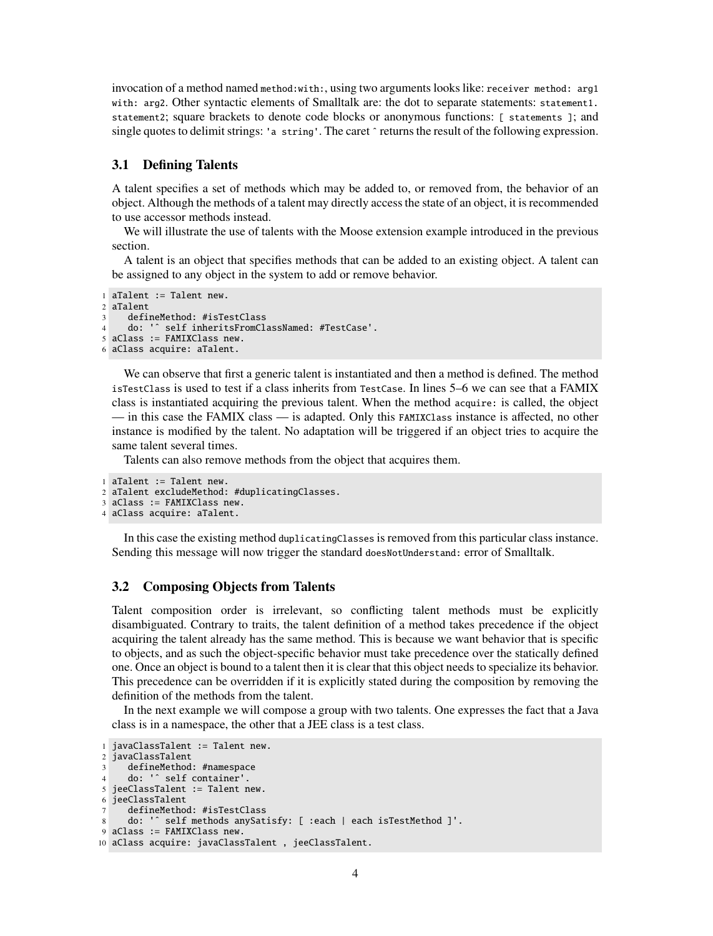invocation of a method named method:with:, using two arguments looks like: receiver method: arg1 with: arg2. Other syntactic elements of Smalltalk are: the dot to separate statements: statement1. statement2; square brackets to denote code blocks or anonymous functions: [ statements ]; and single quotes to delimit strings: 'a string'. The caret ˆ returns the result of the following expression.

#### 3.1 Defining Talents

A talent specifies a set of methods which may be added to, or removed from, the behavior of an object. Although the methods of a talent may directly access the state of an object, it is recommended to use accessor methods instead.

We will illustrate the use of talents with the Moose extension example introduced in the previous section.

A talent is an object that specifies methods that can be added to an existing object. A talent can be assigned to any object in the system to add or remove behavior.

```
1 aTalent := Talent new.
2 aTalent
3 defineMethod: #isTestClass
     4 do: 'ˆ self inheritsFromClassNamed: #TestCase'.
5 aClass := FAMIXClass new.
6 aClass acquire: aTalent.
```
We can observe that first a generic talent is instantiated and then a method is defined. The method isTestClass is used to test if a class inherits from TestCase. In lines 5–6 we can see that a FAMIX class is instantiated acquiring the previous talent. When the method acquire: is called, the object — in this case the FAMIX class — is adapted. Only this FAMIXClass instance is affected, no other instance is modified by the talent. No adaptation will be triggered if an object tries to acquire the same talent several times.

Talents can also remove methods from the object that acquires them.

```
1 aTalent := Talent new.
2 aTalent excludeMethod: #duplicatingClasses.
3 aClass := FAMIXClass new.
4 aClass acquire: aTalent.
```
In this case the existing method duplicatingClasses is removed from this particular class instance. Sending this message will now trigger the standard doesNotUnderstand: error of Smalltalk.

#### 3.2 Composing Objects from Talents

Talent composition order is irrelevant, so conflicting talent methods must be explicitly disambiguated. Contrary to traits, the talent definition of a method takes precedence if the object acquiring the talent already has the same method. This is because we want behavior that is specific to objects, and as such the object-specific behavior must take precedence over the statically defined one. Once an object is bound to a talent then it is clear that this object needs to specialize its behavior. This precedence can be overridden if it is explicitly stated during the composition by removing the definition of the methods from the talent.

In the next example we will compose a group with two talents. One expresses the fact that a Java class is in a namespace, the other that a JEE class is a test class.

```
1 javaClassTalent := Talent new.
2 javaClassTalent
3 defineMethod: #namespace
4 do: 'ˆ self container'.
5 jeeClassTalent := Talent new.
6 jeeClassTalent
     defineMethod: #isTestClass
8 do: 'ˆ self methods anySatisfy: [ :each | each isTestMethod ]'.
9 aClass := FAMIXClass new.
10 aClass acquire: javaClassTalent , jeeClassTalent.
```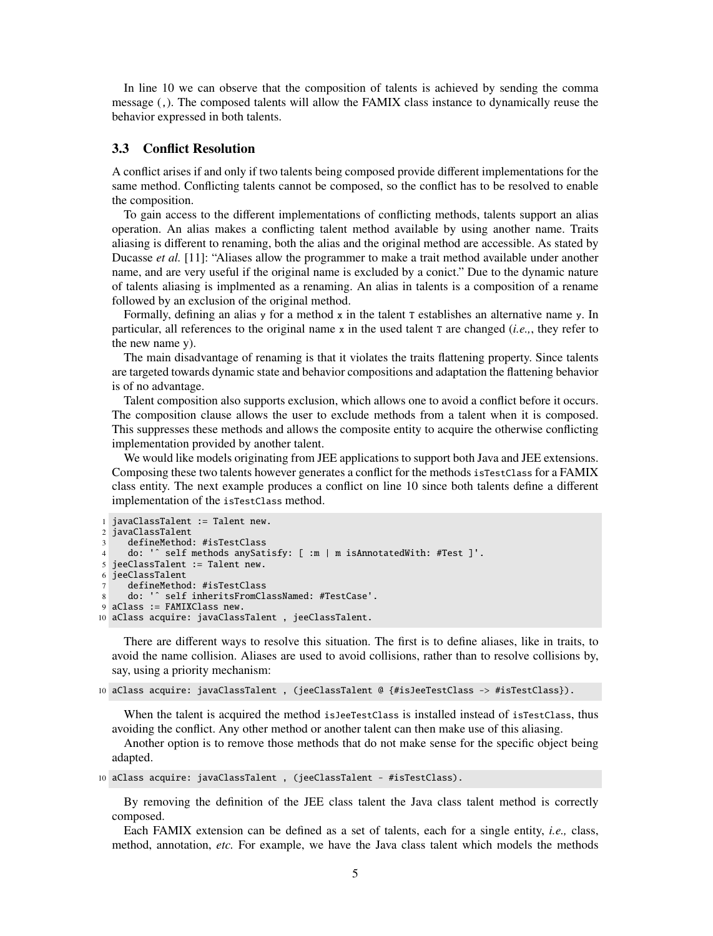In line 10 we can observe that the composition of talents is achieved by sending the comma message (,). The composed talents will allow the FAMIX class instance to dynamically reuse the behavior expressed in both talents.

#### 3.3 Conflict Resolution

A conflict arises if and only if two talents being composed provide different implementations for the same method. Conflicting talents cannot be composed, so the conflict has to be resolved to enable the composition.

To gain access to the different implementations of conflicting methods, talents support an alias operation. An alias makes a conflicting talent method available by using another name. Traits aliasing is different to renaming, both the alias and the original method are accessible. As stated by Ducasse *et al.* [11]: "Aliases allow the programmer to make a trait method available under another name, and are very useful if the original name is excluded by a conict." Due to the dynamic nature of talents aliasing is implmented as a renaming. An alias in talents is a composition of a rename followed by an exclusion of the original method.

Formally, defining an alias y for a method x in the talent T establishes an alternative name y. In particular, all references to the original name x in the used talent T are changed (*i.e.,*, they refer to the new name y).

The main disadvantage of renaming is that it violates the traits flattening property. Since talents are targeted towards dynamic state and behavior compositions and adaptation the flattening behavior is of no advantage.

Talent composition also supports exclusion, which allows one to avoid a conflict before it occurs. The composition clause allows the user to exclude methods from a talent when it is composed. This suppresses these methods and allows the composite entity to acquire the otherwise conflicting implementation provided by another talent.

We would like models originating from JEE applications to support both Java and JEE extensions. Composing these two talents however generates a conflict for the methods isTestClass for a FAMIX class entity. The next example produces a conflict on line 10 since both talents define a different implementation of the isTestClass method.

```
1 javaClassTalent := Talent new.
2 javaClassTalent
3 defineMethod: #isTestClass
4 do: 'ˆ self methods anySatisfy: [ :m | m isAnnotatedWith: #Test ]'.
5 jeeClassTalent := Talent new.
6 jeeClassTalent
     defineMethod: #isTestClass
8 do: 'ˆ self inheritsFromClassNamed: #TestCase'.
9 aClass := FAMIXClass new.
10 aClass acquire: javaClassTalent , jeeClassTalent.
```
There are different ways to resolve this situation. The first is to define aliases, like in traits, to avoid the name collision. Aliases are used to avoid collisions, rather than to resolve collisions by, say, using a priority mechanism:

```
10 aClass acquire: javaClassTalent , (jeeClassTalent @ {#isJeeTestClass -> #isTestClass}).
```
When the talent is acquired the method isJeeTestClass is installed instead of isTestClass, thus avoiding the conflict. Any other method or another talent can then make use of this aliasing.

Another option is to remove those methods that do not make sense for the specific object being adapted.

10 aClass acquire: javaClassTalent , (jeeClassTalent - #isTestClass).

By removing the definition of the JEE class talent the Java class talent method is correctly composed.

Each FAMIX extension can be defined as a set of talents, each for a single entity, *i.e.,* class, method, annotation, *etc.* For example, we have the Java class talent which models the methods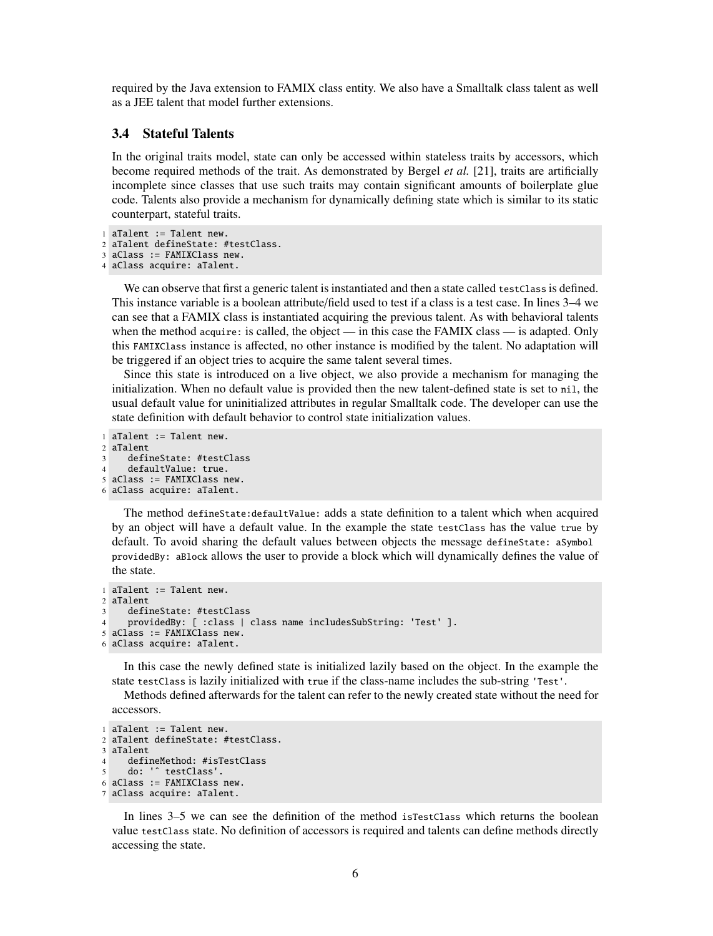required by the Java extension to FAMIX class entity. We also have a Smalltalk class talent as well as a JEE talent that model further extensions.

### 3.4 Stateful Talents

In the original traits model, state can only be accessed within stateless traits by accessors, which become required methods of the trait. As demonstrated by Bergel *et al.* [21], traits are artificially incomplete since classes that use such traits may contain significant amounts of boilerplate glue code. Talents also provide a mechanism for dynamically defining state which is similar to its static counterpart, stateful traits.

```
1 aTalent := Talent new.
```
- 2 aTalent defineState: #testClass.
- 3 aClass := FAMIXClass new.

```
4 aClass acquire: aTalent.
```
We can observe that first a generic talent is instantiated and then a state called test Class is defined. This instance variable is a boolean attribute/field used to test if a class is a test case. In lines 3–4 we can see that a FAMIX class is instantiated acquiring the previous talent. As with behavioral talents when the method acquire: is called, the object — in this case the FAMIX class — is adapted. Only this FAMIXClass instance is affected, no other instance is modified by the talent. No adaptation will be triggered if an object tries to acquire the same talent several times.

Since this state is introduced on a live object, we also provide a mechanism for managing the initialization. When no default value is provided then the new talent-defined state is set to nil, the usual default value for uninitialized attributes in regular Smalltalk code. The developer can use the state definition with default behavior to control state initialization values.

```
1 aTalent := Talent new.
2 aTalent
    defineState: #testClass
4 defaultValue: true.
5 aClass := FAMIXClass new.
6 aClass acquire: aTalent.
```
The method defineState:defaultValue: adds a state definition to a talent which when acquired by an object will have a default value. In the example the state testClass has the value true by default. To avoid sharing the default values between objects the message defineState: aSymbol providedBy: aBlock allows the user to provide a block which will dynamically defines the value of the state.

```
1 aTalent := Talent new.
2 aTalent
    3 defineState: #testClass
4 providedBy: [ :class | class name includesSubString: 'Test' ].
5 aClass := FAMIXClass new.
6 aClass acquire: aTalent.
```
In this case the newly defined state is initialized lazily based on the object. In the example the state testClass is lazily initialized with true if the class-name includes the sub-string 'Test'.

Methods defined afterwards for the talent can refer to the newly created state without the need for accessors.

```
1 aTalent := Talent new.
2 aTalent defineState: #testClass.
3 aTalent
     4 defineMethod: #isTestClass
5 do: 'ˆ testClass'.
6 aClass := FAMIXClass new.
7 aClass acquire: aTalent.
```
In lines 3–5 we can see the definition of the method isTestClass which returns the boolean value testClass state. No definition of accessors is required and talents can define methods directly accessing the state.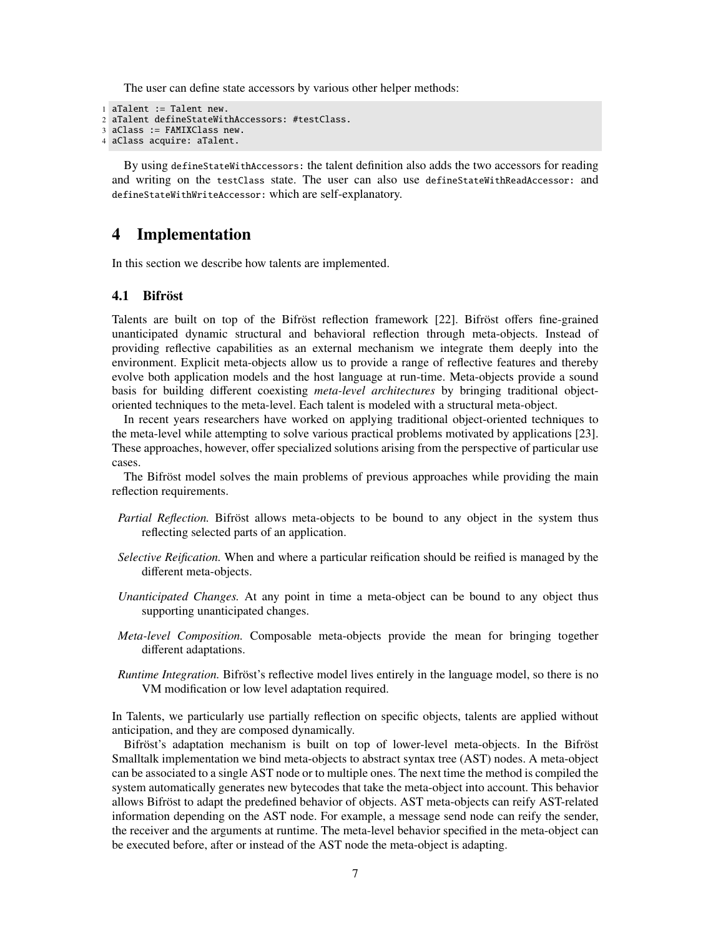The user can define state accessors by various other helper methods:

```
1 aTalent := Talent new.
2 aTalent defineStateWithAccessors: #testClass.
3 aClass := FAMIXClass new.
4 aClass acquire: aTalent.
```
By using defineStateWithAccessors: the talent definition also adds the two accessors for reading and writing on the testClass state. The user can also use defineStateWithReadAccessor: and defineStateWithWriteAccessor: which are self-explanatory.

## 4 Implementation

In this section we describe how talents are implemented.

#### 4.1 Bifröst

Talents are built on top of the Bifröst reflection framework [22]. Bifröst offers fine-grained unanticipated dynamic structural and behavioral reflection through meta-objects. Instead of providing reflective capabilities as an external mechanism we integrate them deeply into the environment. Explicit meta-objects allow us to provide a range of reflective features and thereby evolve both application models and the host language at run-time. Meta-objects provide a sound basis for building different coexisting *meta-level architectures* by bringing traditional objectoriented techniques to the meta-level. Each talent is modeled with a structural meta-object.

In recent years researchers have worked on applying traditional object-oriented techniques to the meta-level while attempting to solve various practical problems motivated by applications [23]. These approaches, however, offer specialized solutions arising from the perspective of particular use cases.

The Bifrost model solves the main problems of previous approaches while providing the main reflection requirements.

- *Partial Reflection.* Bifröst allows meta-objects to be bound to any object in the system thus reflecting selected parts of an application.
- *Selective Reification.* When and where a particular reification should be reified is managed by the different meta-objects.
- *Unanticipated Changes.* At any point in time a meta-object can be bound to any object thus supporting unanticipated changes.
- *Meta-level Composition.* Composable meta-objects provide the mean for bringing together different adaptations.
- *Runtime Integration.* Bifröst's reflective model lives entirely in the language model, so there is no VM modification or low level adaptation required.

In Talents, we particularly use partially reflection on specific objects, talents are applied without anticipation, and they are composed dynamically.

Bifrost's adaptation mechanism is built on top of lower-level meta-objects. In the Bifrost Smalltalk implementation we bind meta-objects to abstract syntax tree (AST) nodes. A meta-object can be associated to a single AST node or to multiple ones. The next time the method is compiled the system automatically generates new bytecodes that take the meta-object into account. This behavior allows Bifrost to adapt the predefined behavior of objects. AST meta-objects can reify AST-related information depending on the AST node. For example, a message send node can reify the sender, the receiver and the arguments at runtime. The meta-level behavior specified in the meta-object can be executed before, after or instead of the AST node the meta-object is adapting.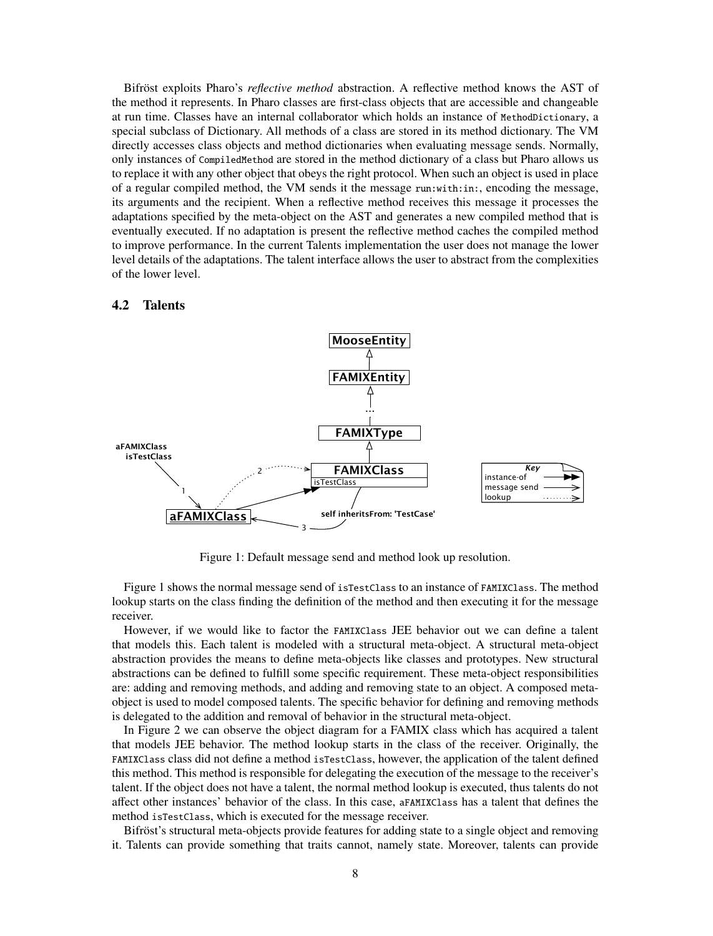Bifröst exploits Pharo's *reflective method* abstraction. A reflective method knows the AST of the method it represents. In Pharo classes are first-class objects that are accessible and changeable at run time. Classes have an internal collaborator which holds an instance of MethodDictionary, a special subclass of Dictionary. All methods of a class are stored in its method dictionary. The VM directly accesses class objects and method dictionaries when evaluating message sends. Normally, only instances of CompiledMethod are stored in the method dictionary of a class but Pharo allows us to replace it with any other object that obeys the right protocol. When such an object is used in place of a regular compiled method, the VM sends it the message run:with:in:, encoding the message, its arguments and the recipient. When a reflective method receives this message it processes the adaptations specified by the meta-object on the AST and generates a new compiled method that is eventually executed. If no adaptation is present the reflective method caches the compiled method to improve performance. In the current Talents implementation the user does not manage the lower level details of the adaptations. The talent interface allows the user to abstract from the complexities of the lower level.

#### 4.2 Talents



Figure 1: Default message send and method look up resolution.

Figure 1 shows the normal message send of isTestClass to an instance of FAMIXClass. The method lookup starts on the class finding the definition of the method and then executing it for the message receiver.

However, if we would like to factor the FAMIXClass JEE behavior out we can define a talent that models this. Each talent is modeled with a structural meta-object. A structural meta-object abstraction provides the means to define meta-objects like classes and prototypes. New structural abstractions can be defined to fulfill some specific requirement. These meta-object responsibilities are: adding and removing methods, and adding and removing state to an object. A composed metaobject is used to model composed talents. The specific behavior for defining and removing methods is delegated to the addition and removal of behavior in the structural meta-object.

In Figure 2 we can observe the object diagram for a FAMIX class which has acquired a talent that models JEE behavior. The method lookup starts in the class of the receiver. Originally, the FAMIXClass class did not define a method isTestClass, however, the application of the talent defined this method. This method is responsible for delegating the execution of the message to the receiver's talent. If the object does not have a talent, the normal method lookup is executed, thus talents do not affect other instances' behavior of the class. In this case, aFAMIXClass has a talent that defines the method isTestClass, which is executed for the message receiver.

Bifröst's structural meta-objects provide features for adding state to a single object and removing it. Talents can provide something that traits cannot, namely state. Moreover, talents can provide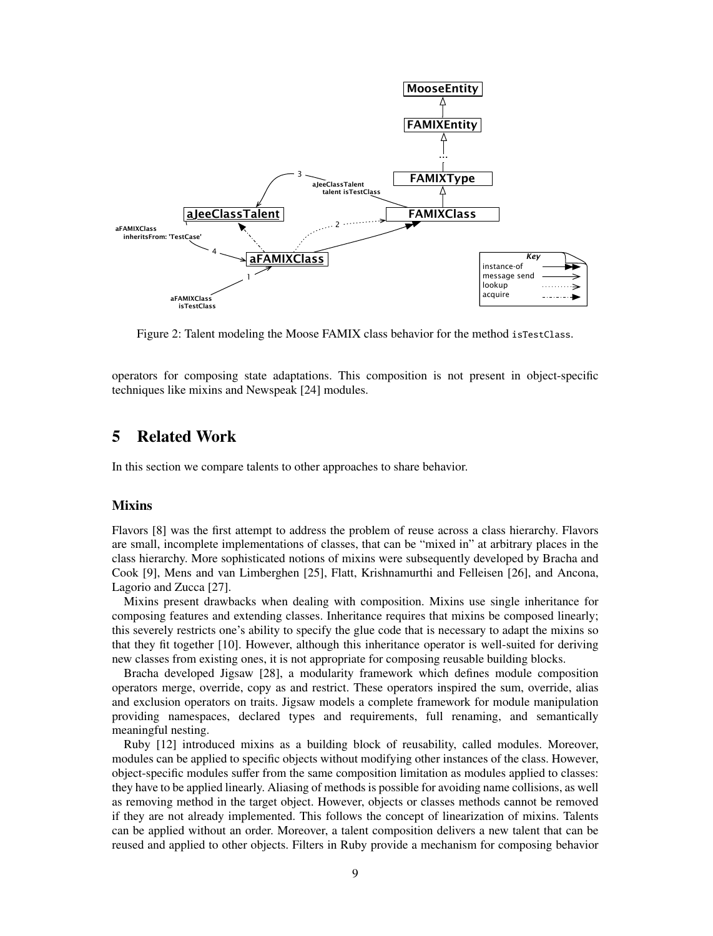

Figure 2: Talent modeling the Moose FAMIX class behavior for the method isTestClass.

operators for composing state adaptations. This composition is not present in object-specific techniques like mixins and Newspeak [24] modules.

## 5 Related Work

In this section we compare talents to other approaches to share behavior.

#### Mixins

Flavors [8] was the first attempt to address the problem of reuse across a class hierarchy. Flavors are small, incomplete implementations of classes, that can be "mixed in" at arbitrary places in the class hierarchy. More sophisticated notions of mixins were subsequently developed by Bracha and Cook [9], Mens and van Limberghen [25], Flatt, Krishnamurthi and Felleisen [26], and Ancona, Lagorio and Zucca [27].

Mixins present drawbacks when dealing with composition. Mixins use single inheritance for composing features and extending classes. Inheritance requires that mixins be composed linearly; this severely restricts one's ability to specify the glue code that is necessary to adapt the mixins so that they fit together [10]. However, although this inheritance operator is well-suited for deriving new classes from existing ones, it is not appropriate for composing reusable building blocks.

Bracha developed Jigsaw [28], a modularity framework which defines module composition operators merge, override, copy as and restrict. These operators inspired the sum, override, alias and exclusion operators on traits. Jigsaw models a complete framework for module manipulation providing namespaces, declared types and requirements, full renaming, and semantically meaningful nesting.

Ruby [12] introduced mixins as a building block of reusability, called modules. Moreover, modules can be applied to specific objects without modifying other instances of the class. However, object-specific modules suffer from the same composition limitation as modules applied to classes: they have to be applied linearly. Aliasing of methods is possible for avoiding name collisions, as well as removing method in the target object. However, objects or classes methods cannot be removed if they are not already implemented. This follows the concept of linearization of mixins. Talents can be applied without an order. Moreover, a talent composition delivers a new talent that can be reused and applied to other objects. Filters in Ruby provide a mechanism for composing behavior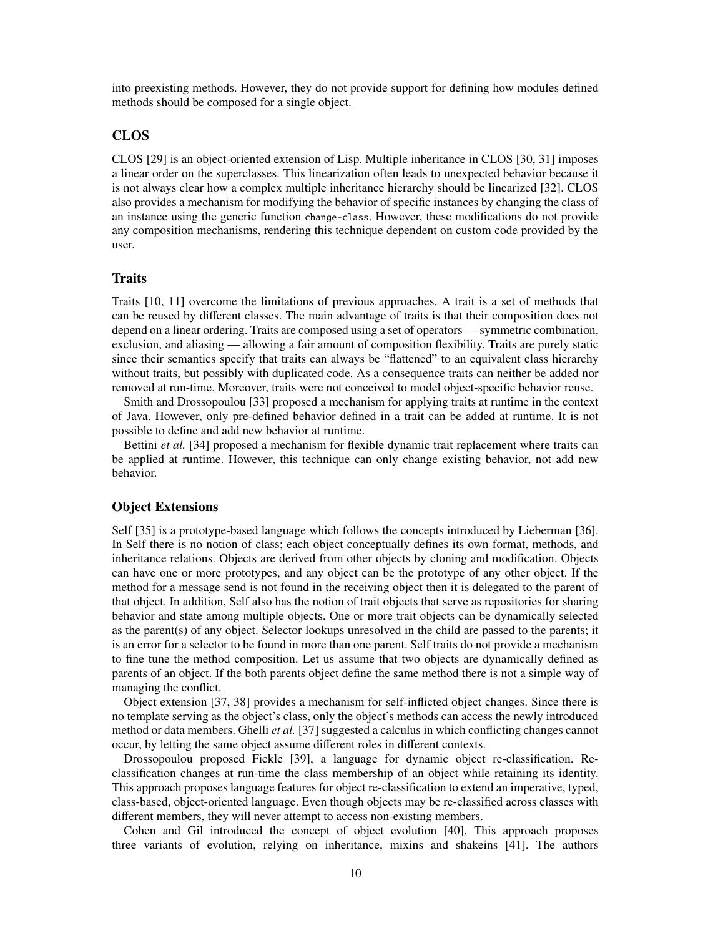into preexisting methods. However, they do not provide support for defining how modules defined methods should be composed for a single object.

### CLOS

CLOS [29] is an object-oriented extension of Lisp. Multiple inheritance in CLOS [30, 31] imposes a linear order on the superclasses. This linearization often leads to unexpected behavior because it is not always clear how a complex multiple inheritance hierarchy should be linearized [32]. CLOS also provides a mechanism for modifying the behavior of specific instances by changing the class of an instance using the generic function change-class. However, these modifications do not provide any composition mechanisms, rendering this technique dependent on custom code provided by the user.

#### **Traits**

Traits [10, 11] overcome the limitations of previous approaches. A trait is a set of methods that can be reused by different classes. The main advantage of traits is that their composition does not depend on a linear ordering. Traits are composed using a set of operators — symmetric combination, exclusion, and aliasing — allowing a fair amount of composition flexibility. Traits are purely static since their semantics specify that traits can always be "flattened" to an equivalent class hierarchy without traits, but possibly with duplicated code. As a consequence traits can neither be added nor removed at run-time. Moreover, traits were not conceived to model object-specific behavior reuse.

Smith and Drossopoulou [33] proposed a mechanism for applying traits at runtime in the context of Java. However, only pre-defined behavior defined in a trait can be added at runtime. It is not possible to define and add new behavior at runtime.

Bettini *et al.* [34] proposed a mechanism for flexible dynamic trait replacement where traits can be applied at runtime. However, this technique can only change existing behavior, not add new behavior.

#### Object Extensions

Self [35] is a prototype-based language which follows the concepts introduced by Lieberman [36]. In Self there is no notion of class; each object conceptually defines its own format, methods, and inheritance relations. Objects are derived from other objects by cloning and modification. Objects can have one or more prototypes, and any object can be the prototype of any other object. If the method for a message send is not found in the receiving object then it is delegated to the parent of that object. In addition, Self also has the notion of trait objects that serve as repositories for sharing behavior and state among multiple objects. One or more trait objects can be dynamically selected as the parent(s) of any object. Selector lookups unresolved in the child are passed to the parents; it is an error for a selector to be found in more than one parent. Self traits do not provide a mechanism to fine tune the method composition. Let us assume that two objects are dynamically defined as parents of an object. If the both parents object define the same method there is not a simple way of managing the conflict.

Object extension [37, 38] provides a mechanism for self-inflicted object changes. Since there is no template serving as the object's class, only the object's methods can access the newly introduced method or data members. Ghelli *et al.* [37] suggested a calculus in which conflicting changes cannot occur, by letting the same object assume different roles in different contexts.

Drossopoulou proposed Fickle [39], a language for dynamic object re-classification. Reclassification changes at run-time the class membership of an object while retaining its identity. This approach proposes language features for object re-classification to extend an imperative, typed, class-based, object-oriented language. Even though objects may be re-classified across classes with different members, they will never attempt to access non-existing members.

Cohen and Gil introduced the concept of object evolution [40]. This approach proposes three variants of evolution, relying on inheritance, mixins and shakeins [41]. The authors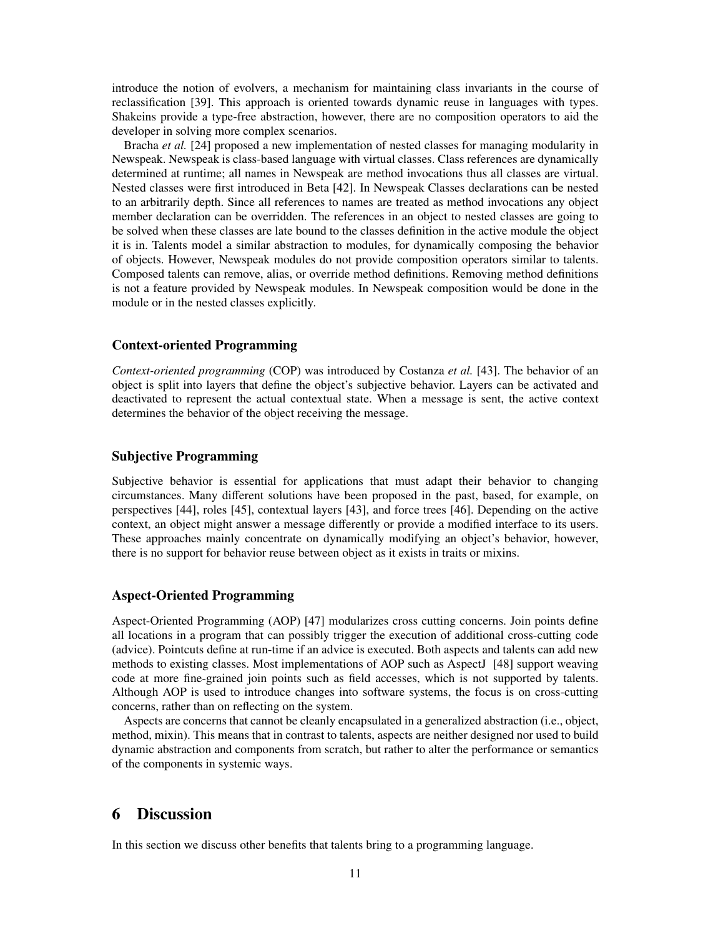introduce the notion of evolvers, a mechanism for maintaining class invariants in the course of reclassification [39]. This approach is oriented towards dynamic reuse in languages with types. Shakeins provide a type-free abstraction, however, there are no composition operators to aid the developer in solving more complex scenarios.

Bracha *et al.* [24] proposed a new implementation of nested classes for managing modularity in Newspeak. Newspeak is class-based language with virtual classes. Class references are dynamically determined at runtime; all names in Newspeak are method invocations thus all classes are virtual. Nested classes were first introduced in Beta [42]. In Newspeak Classes declarations can be nested to an arbitrarily depth. Since all references to names are treated as method invocations any object member declaration can be overridden. The references in an object to nested classes are going to be solved when these classes are late bound to the classes definition in the active module the object it is in. Talents model a similar abstraction to modules, for dynamically composing the behavior of objects. However, Newspeak modules do not provide composition operators similar to talents. Composed talents can remove, alias, or override method definitions. Removing method definitions is not a feature provided by Newspeak modules. In Newspeak composition would be done in the module or in the nested classes explicitly.

#### Context-oriented Programming

*Context-oriented programming* (COP) was introduced by Costanza *et al.* [43]. The behavior of an object is split into layers that define the object's subjective behavior. Layers can be activated and deactivated to represent the actual contextual state. When a message is sent, the active context determines the behavior of the object receiving the message.

#### Subjective Programming

Subjective behavior is essential for applications that must adapt their behavior to changing circumstances. Many different solutions have been proposed in the past, based, for example, on perspectives [44], roles [45], contextual layers [43], and force trees [46]. Depending on the active context, an object might answer a message differently or provide a modified interface to its users. These approaches mainly concentrate on dynamically modifying an object's behavior, however, there is no support for behavior reuse between object as it exists in traits or mixins.

### Aspect-Oriented Programming

Aspect-Oriented Programming (AOP) [47] modularizes cross cutting concerns. Join points define all locations in a program that can possibly trigger the execution of additional cross-cutting code (advice). Pointcuts define at run-time if an advice is executed. Both aspects and talents can add new methods to existing classes. Most implementations of AOP such as AspectJ [48] support weaving code at more fine-grained join points such as field accesses, which is not supported by talents. Although AOP is used to introduce changes into software systems, the focus is on cross-cutting concerns, rather than on reflecting on the system.

Aspects are concerns that cannot be cleanly encapsulated in a generalized abstraction (i.e., object, method, mixin). This means that in contrast to talents, aspects are neither designed nor used to build dynamic abstraction and components from scratch, but rather to alter the performance or semantics of the components in systemic ways.

### 6 Discussion

In this section we discuss other benefits that talents bring to a programming language.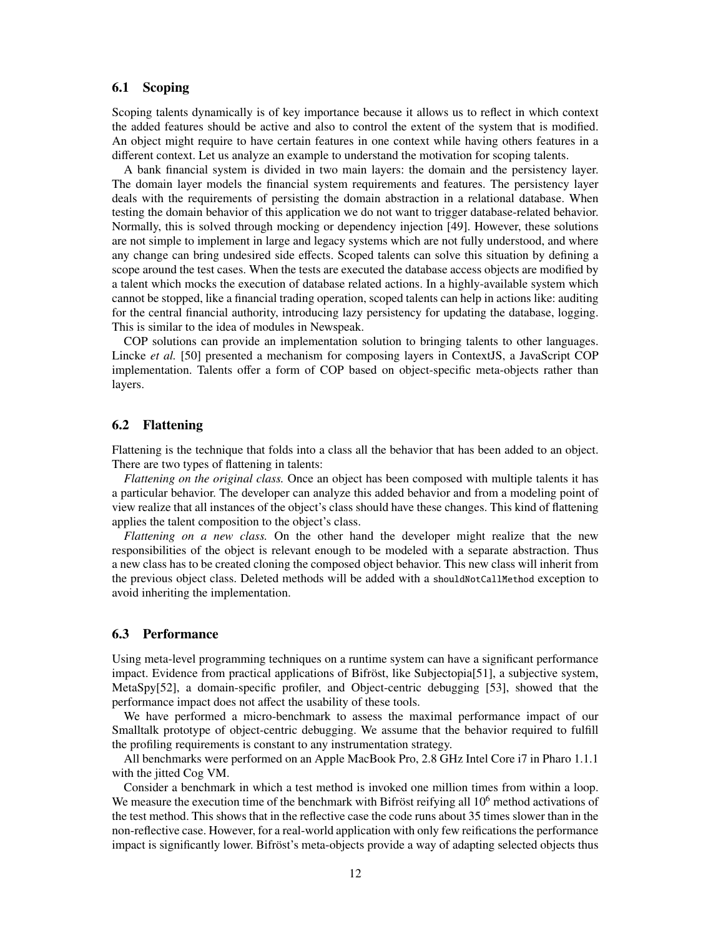#### 6.1 Scoping

Scoping talents dynamically is of key importance because it allows us to reflect in which context the added features should be active and also to control the extent of the system that is modified. An object might require to have certain features in one context while having others features in a different context. Let us analyze an example to understand the motivation for scoping talents.

A bank financial system is divided in two main layers: the domain and the persistency layer. The domain layer models the financial system requirements and features. The persistency layer deals with the requirements of persisting the domain abstraction in a relational database. When testing the domain behavior of this application we do not want to trigger database-related behavior. Normally, this is solved through mocking or dependency injection [49]. However, these solutions are not simple to implement in large and legacy systems which are not fully understood, and where any change can bring undesired side effects. Scoped talents can solve this situation by defining a scope around the test cases. When the tests are executed the database access objects are modified by a talent which mocks the execution of database related actions. In a highly-available system which cannot be stopped, like a financial trading operation, scoped talents can help in actions like: auditing for the central financial authority, introducing lazy persistency for updating the database, logging. This is similar to the idea of modules in Newspeak.

COP solutions can provide an implementation solution to bringing talents to other languages. Lincke *et al.* [\[50\]](#page-21-0) presented a mechanism for composing layers in ContextJS, a JavaScript COP implementation. Talents offer a form of COP based on object-specific meta-objects rather than layers.

### 6.2 Flattening

Flattening is the technique that folds into a class all the behavior that has been added to an object. There are two types of flattening in talents:

*Flattening on the original class.* Once an object has been composed with multiple talents it has a particular behavior. The developer can analyze this added behavior and from a modeling point of view realize that all instances of the object's class should have these changes. This kind of flattening applies the talent composition to the object's class.

*Flattening on a new class.* On the other hand the developer might realize that the new responsibilities of the object is relevant enough to be modeled with a separate abstraction. Thus a new class has to be created cloning the composed object behavior. This new class will inherit from the previous object class. Deleted methods will be added with a shouldNotCallMethod exception to avoid inheriting the implementation.

### 6.3 Performance

Using meta-level programming techniques on a runtime system can have a significant performance impact. Evidence from practical applications of Bifröst, like Subjectopia[51], a subjective system, MetaSpy[52], a domain-specific profiler, and Object-centric debugging [53], showed that the performance impact does not affect the usability of these tools.

We have performed a micro-benchmark to assess the maximal performance impact of our Smalltalk prototype of object-centric debugging. We assume that the behavior required to fulfill the profiling requirements is constant to any instrumentation strategy.

All benchmarks were performed on an Apple MacBook Pro, 2.8 GHz Intel Core i7 in Pharo 1.1.1 with the jitted Cog VM.

Consider a benchmark in which a test method is invoked one million times from within a loop. We measure the execution time of the benchmark with Bifröst reifying all  $10<sup>6</sup>$  method activations of the test method. This shows that in the reflective case the code runs about 35 times slower than in the non-reflective case. However, for a real-world application with only few reifications the performance impact is significantly lower. Bifrost's meta-objects provide a way of adapting selected objects thus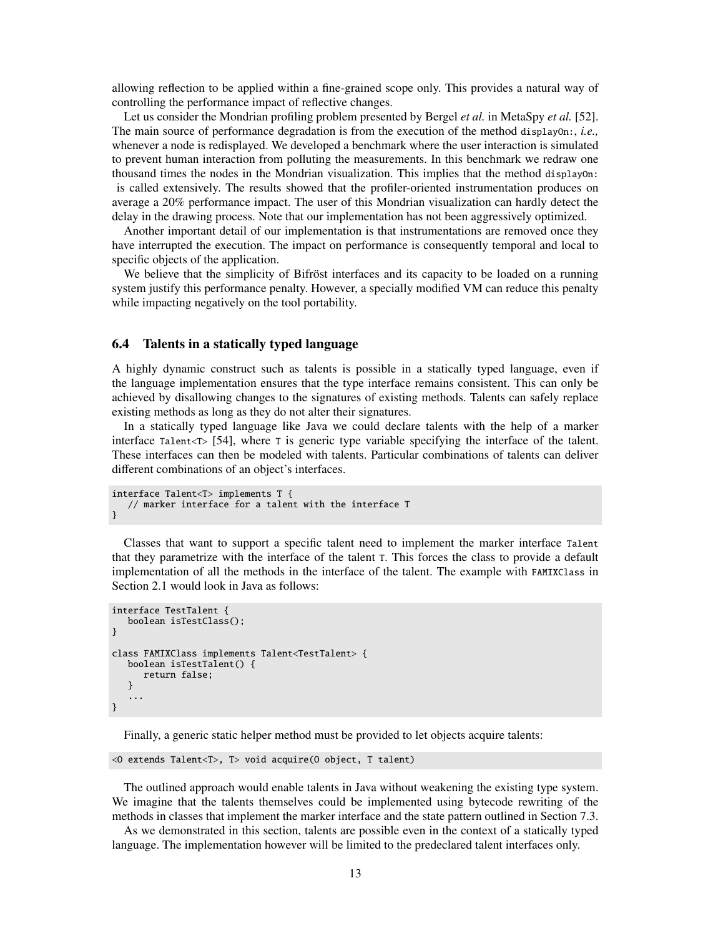allowing reflection to be applied within a fine-grained scope only. This provides a natural way of controlling the performance impact of reflective changes.

Let us consider the Mondrian profiling problem presented by Bergel *et al.* in MetaSpy *et al.* [52]. The main source of performance degradation is from the execution of the method displayon:, *i.e.*, whenever a node is redisplayed. We developed a benchmark where the user interaction is simulated to prevent human interaction from polluting the measurements. In this benchmark we redraw one thousand times the nodes in the Mondrian visualization. This implies that the method displayOn: is called extensively. The results showed that the profiler-oriented instrumentation produces on average a 20% performance impact. The user of this Mondrian visualization can hardly detect the delay in the drawing process. Note that our implementation has not been aggressively optimized.

Another important detail of our implementation is that instrumentations are removed once they have interrupted the execution. The impact on performance is consequently temporal and local to specific objects of the application.

We believe that the simplicity of Bifrost interfaces and its capacity to be loaded on a running system justify this performance penalty. However, a specially modified VM can reduce this penalty while impacting negatively on the tool portability.

#### 6.4 Talents in a statically typed language

A highly dynamic construct such as talents is possible in a statically typed language, even if the language implementation ensures that the type interface remains consistent. This can only be achieved by disallowing changes to the signatures of existing methods. Talents can safely replace existing methods as long as they do not alter their signatures.

In a statically typed language like Java we could declare talents with the help of a marker interface Talent<T> [54], where T is generic type variable specifying the interface of the talent. These interfaces can then be modeled with talents. Particular combinations of talents can deliver different combinations of an object's interfaces.

```
interface Talent<T> implements T {
   // marker interface for a talent with the interface T
}
```
Classes that want to support a specific talent need to implement the marker interface Talent that they parametrize with the interface of the talent T. This forces the class to provide a default implementation of all the methods in the interface of the talent. The example with FAMIXClass in Section 2.1 would look in Java as follows:

```
interface TestTalent {
   boolean isTestClass();
}
class FAMIXClass implements Talent<TestTalent> {
   boolean isTestTalent() {
      return false;
   }
   ...
}
```
Finally, a generic static helper method must be provided to let objects acquire talents:

```
<O extends Talent<T>, T> void acquire(O object, T talent)
```
The outlined approach would enable talents in Java without weakening the existing type system. We imagine that the talents themselves could be implemented using bytecode rewriting of the methods in classes that implement the marker interface and the state pattern outlined in [Section 7.3](#page-14-0).

As we demonstrated in this section, talents are possible even in the context of a statically typed language. The implementation however will be limited to the predeclared talent interfaces only.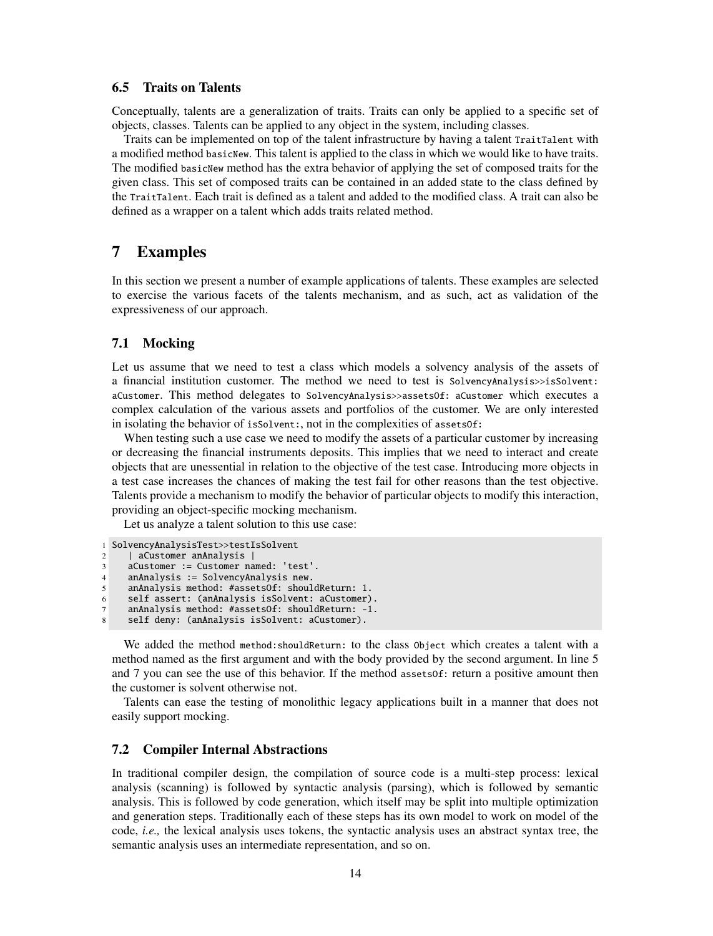#### 6.5 Traits on Talents

Conceptually, talents are a generalization of traits. Traits can only be applied to a specific set of objects, classes. Talents can be applied to any object in the system, including classes.

Traits can be implemented on top of the talent infrastructure by having a talent TraitTalent with a modified method basicNew. This talent is applied to the class in which we would like to have traits. The modified basicNew method has the extra behavior of applying the set of composed traits for the given class. This set of composed traits can be contained in an added state to the class defined by the TraitTalent. Each trait is defined as a talent and added to the modified class. A trait can also be defined as a wrapper on a talent which adds traits related method.

## 7 Examples

In this section we present a number of example applications of talents. These examples are selected to exercise the various facets of the talents mechanism, and as such, act as validation of the expressiveness of our approach.

#### 7.1 Mocking

Let us assume that we need to test a class which models a solvency analysis of the assets of a financial institution customer. The method we need to test is SolvencyAnalysis>>isSolvent: aCustomer. This method delegates to SolvencyAnalysis>>assetsOf: aCustomer which executes a complex calculation of the various assets and portfolios of the customer. We are only interested in isolating the behavior of isSolvent:, not in the complexities of assetsOf:

When testing such a use case we need to modify the assets of a particular customer by increasing or decreasing the financial instruments deposits. This implies that we need to interact and create objects that are unessential in relation to the objective of the test case. Introducing more objects in a test case increases the chances of making the test fail for other reasons than the test objective. Talents provide a mechanism to modify the behavior of particular objects to modify this interaction, providing an object-specific mocking mechanism.

Let us analyze a talent solution to this use case:

```
1 SolvencyAnalysisTest>>testIsSolvent
     | aCustomer anAnalysis |
3 aCustomer := Customer named: 'test'.
    anAnalysis := SolvencyAnalysis new.
5 anAnalysis method: #assetsOf: shouldReturn: 1.
     self assert: (anAnalysis isSolvent: aCustomer).
     anAnalysis method: #assetsOf: shouldReturn: -1.
     self deny: (anAnalysis isSolvent: aCustomer).
```
We added the method method: shouldReturn: to the class Object which creates a talent with a method named as the first argument and with the body provided by the second argument. In line 5 and 7 you can see the use of this behavior. If the method assetsOf: return a positive amount then the customer is solvent otherwise not.

Talents can ease the testing of monolithic legacy applications built in a manner that does not easily support mocking.

#### 7.2 Compiler Internal Abstractions

In traditional compiler design, the compilation of source code is a multi-step process: lexical analysis (scanning) is followed by syntactic analysis (parsing), which is followed by semantic analysis. This is followed by code generation, which itself may be split into multiple optimization and generation steps. Traditionally each of these steps has its own model to work on model of the code, *i.e.,* the lexical analysis uses tokens, the syntactic analysis uses an abstract syntax tree, the semantic analysis uses an intermediate representation, and so on.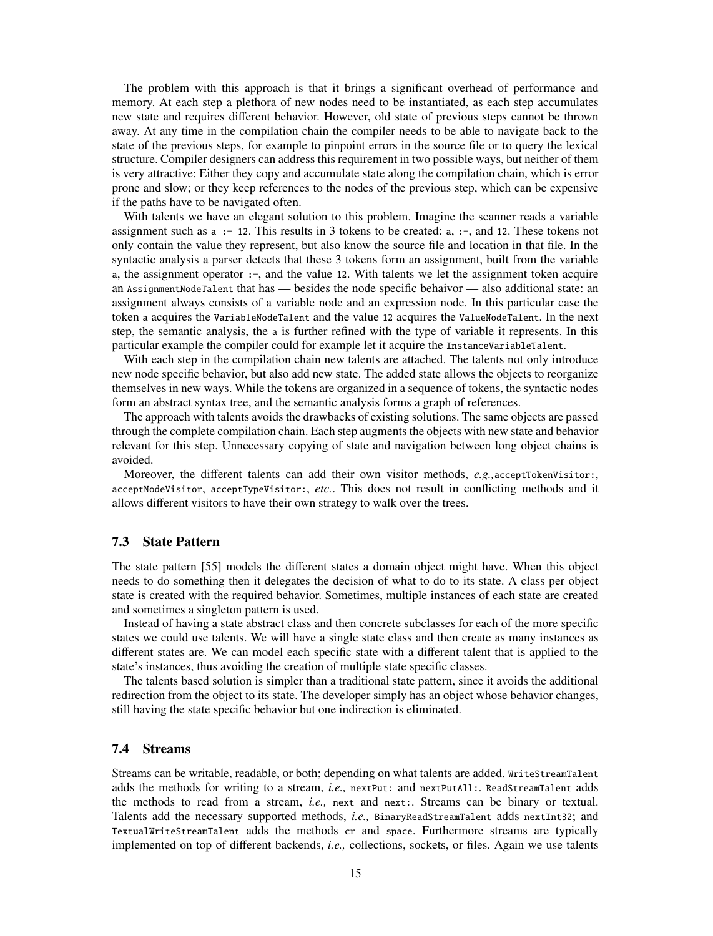The problem with this approach is that it brings a significant overhead of performance and memory. At each step a plethora of new nodes need to be instantiated, as each step accumulates new state and requires different behavior. However, old state of previous steps cannot be thrown away. At any time in the compilation chain the compiler needs to be able to navigate back to the state of the previous steps, for example to pinpoint errors in the source file or to query the lexical structure. Compiler designers can address this requirement in two possible ways, but neither of them is very attractive: Either they copy and accumulate state along the compilation chain, which is error prone and slow; or they keep references to the nodes of the previous step, which can be expensive if the paths have to be navigated often.

With talents we have an elegant solution to this problem. Imagine the scanner reads a variable assignment such as  $a := 12$ . This results in 3 tokens to be created: a,  $:=$ , and 12. These tokens not only contain the value they represent, but also know the source file and location in that file. In the syntactic analysis a parser detects that these 3 tokens form an assignment, built from the variable a, the assignment operator :=, and the value 12. With talents we let the assignment token acquire an AssignmentNodeTalent that has — besides the node specific behaivor — also additional state: an assignment always consists of a variable node and an expression node. In this particular case the token a acquires the VariableNodeTalent and the value 12 acquires the ValueNodeTalent. In the next step, the semantic analysis, the a is further refined with the type of variable it represents. In this particular example the compiler could for example let it acquire the InstanceVariableTalent.

With each step in the compilation chain new talents are attached. The talents not only introduce new node specific behavior, but also add new state. The added state allows the objects to reorganize themselves in new ways. While the tokens are organized in a sequence of tokens, the syntactic nodes form an abstract syntax tree, and the semantic analysis forms a graph of references.

The approach with talents avoids the drawbacks of existing solutions. The same objects are passed through the complete compilation chain. Each step augments the objects with new state and behavior relevant for this step. Unnecessary copying of state and navigation between long object chains is avoided.

Moreover, the different talents can add their own visitor methods, *e.g.*, acceptTokenVisitor:, acceptNodeVisitor, acceptTypeVisitor:, *etc.*. This does not result in conflicting methods and it allows different visitors to have their own strategy to walk over the trees.

### <span id="page-14-0"></span>7.3 State Pattern

The state pattern [55] models the different states a domain object might have. When this object needs to do something then it delegates the decision of what to do to its state. A class per object state is created with the required behavior. Sometimes, multiple instances of each state are created and sometimes a singleton pattern is used.

Instead of having a state abstract class and then concrete subclasses for each of the more specific states we could use talents. We will have a single state class and then create as many instances as different states are. We can model each specific state with a different talent that is applied to the state's instances, thus avoiding the creation of multiple state specific classes.

The talents based solution is simpler than a traditional state pattern, since it avoids the additional redirection from the object to its state. The developer simply has an object whose behavior changes, still having the state specific behavior but one indirection is eliminated.

#### 7.4 Streams

Streams can be writable, readable, or both; depending on what talents are added. WriteStreamTalent adds the methods for writing to a stream, *i.e.,* nextPut: and nextPutAll:. ReadStreamTalent adds the methods to read from a stream, *i.e.,* next and next:. Streams can be binary or textual. Talents add the necessary supported methods, *i.e.,* BinaryReadStreamTalent adds nextInt32; and TextualWriteStreamTalent adds the methods cr and space. Furthermore streams are typically implemented on top of different backends, *i.e.,* collections, sockets, or files. Again we use talents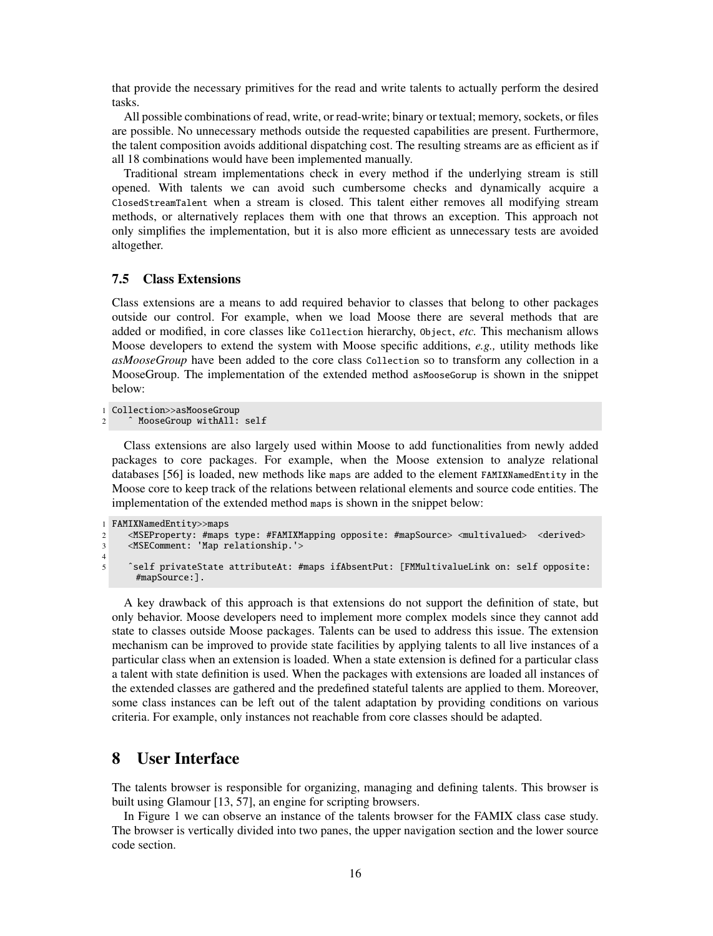that provide the necessary primitives for the read and write talents to actually perform the desired tasks.

All possible combinations of read, write, or read-write; binary or textual; memory, sockets, or files are possible. No unnecessary methods outside the requested capabilities are present. Furthermore, the talent composition avoids additional dispatching cost. The resulting streams are as efficient as if all 18 combinations would have been implemented manually.

Traditional stream implementations check in every method if the underlying stream is still opened. With talents we can avoid such cumbersome checks and dynamically acquire a ClosedStreamTalent when a stream is closed. This talent either removes all modifying stream methods, or alternatively replaces them with one that throws an exception. This approach not only simplifies the implementation, but it is also more efficient as unnecessary tests are avoided altogether.

#### 7.5 Class Extensions

Class extensions are a means to add required behavior to classes that belong to other packages outside our control. For example, when we load Moose there are several methods that are added or modified, in core classes like Collection hierarchy, Object, *etc.* This mechanism allows Moose developers to extend the system with Moose specific additions, *e.g.,* utility methods like *asMooseGroup* have been added to the core class Collection so to transform any collection in a MooseGroup. The implementation of the extended method asMooseGorup is shown in the snippet below:

```
1 Collection>>asMooseGroup
2 ˆ MooseGroup withAll: self
```
Class extensions are also largely used within Moose to add functionalities from newly added packages to core packages. For example, when the Moose extension to analyze relational databases [56] is loaded, new methods like maps are added to the element FAMIXNamedEntity in the Moose core to keep track of the relations between relational elements and source code entities. The implementation of the extended method maps is shown in the snippet below:

```
1 FAMIXNamedEntity>>maps
2 <MSEProperty: #maps type: #FAMIXMapping opposite: #mapSource> <multivalued> <derived>
3 <MSEComment: 'Map relationship.'>
4
5 ˆself privateState attributeAt: #maps ifAbsentPut: [FMMultivalueLink on: self opposite:
      #mapSource:].
```
A key drawback of this approach is that extensions do not support the definition of state, but only behavior. Moose developers need to implement more complex models since they cannot add state to classes outside Moose packages. Talents can be used to address this issue. The extension mechanism can be improved to provide state facilities by applying talents to all live instances of a particular class when an extension is loaded. When a state extension is defined for a particular class a talent with state definition is used. When the packages with extensions are loaded all instances of the extended classes are gathered and the predefined stateful talents are applied to them. Moreover, some class instances can be left out of the talent adaptation by providing conditions on various criteria. For example, only instances not reachable from core classes should be adapted.

## 8 User Interface

The talents browser is responsible for organizing, managing and defining talents. This browser is built using Glamour [13, 57], an engine for scripting browsers.

In Figure 1 we can observe an instance of the talents browser for the FAMIX class case study. The browser is vertically divided into two panes, the upper navigation section and the lower source code section.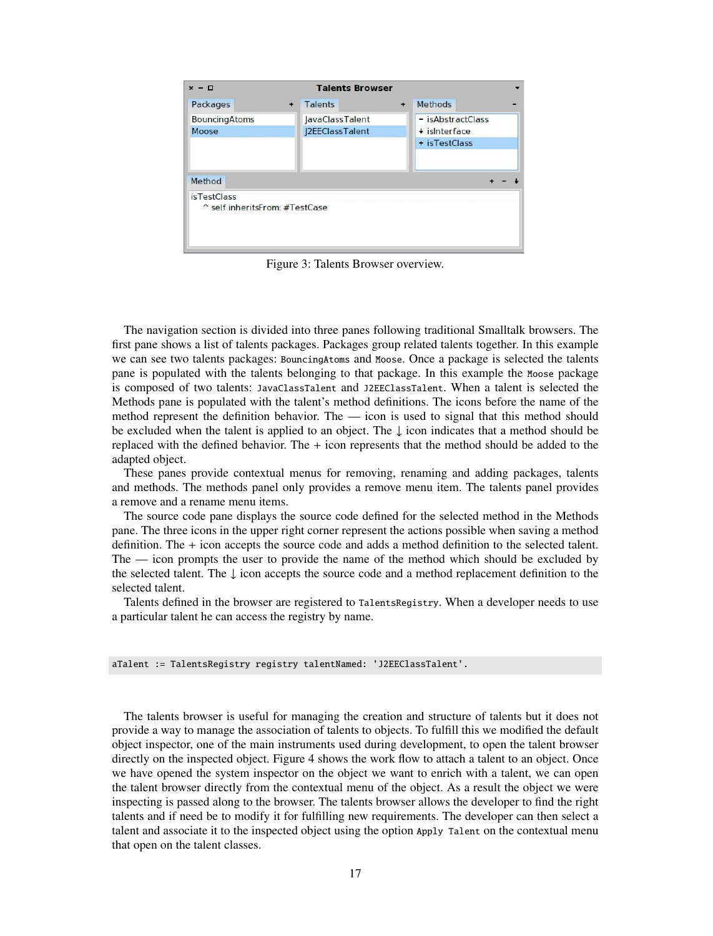| $x - \Box$                                           |        | <b>Talents Browser</b> |   |                                       |
|------------------------------------------------------|--------|------------------------|---|---------------------------------------|
| Packages                                             | $\div$ | <b>Talents</b>         | ٠ | <b>Methods</b>                        |
| <b>BouncingAtoms</b>                                 |        | <b>JavaClassTalent</b> |   | $-$ is Abstract Class                 |
| Moose                                                |        | J2EEClassTalent        |   | $\overline{\phantom{a}}$ is interface |
|                                                      |        |                        |   | + isTestClass                         |
| Method                                               |        |                        |   |                                       |
| <b>isTestClass</b><br>^ self inheritsFrom: #TestCase |        |                        |   |                                       |

Figure 3: Talents Browser overview.

The navigation section is divided into three panes following traditional Smalltalk browsers. The first pane shows a list of talents packages. Packages group related talents together. In this example we can see two talents packages: BouncingAtoms and Moose. Once a package is selected the talents pane is populated with the talents belonging to that package. In this example the Moose package is composed of two talents: JavaClassTalent and J2EEClassTalent. When a talent is selected the Methods pane is populated with the talent's method definitions. The icons before the name of the method represent the definition behavior. The — icon is used to signal that this method should be excluded when the talent is applied to an object. The ↓ icon indicates that a method should be replaced with the defined behavior. The + icon represents that the method should be added to the adapted object.

These panes provide contextual menus for removing, renaming and adding packages, talents and methods. The methods panel only provides a remove menu item. The talents panel provides a remove and a rename menu items.

The source code pane displays the source code defined for the selected method in the Methods pane. The three icons in the upper right corner represent the actions possible when saving a method definition. The + icon accepts the source code and adds a method definition to the selected talent. The — icon prompts the user to provide the name of the method which should be excluded by the selected talent. The ↓ icon accepts the source code and a method replacement definition to the selected talent.

Talents defined in the browser are registered to TalentsRegistry. When a developer needs to use a particular talent he can access the registry by name.

aTalent := TalentsRegistry registry talentNamed: 'J2EEClassTalent'.

The talents browser is useful for managing the creation and structure of talents but it does not provide a way to manage the association of talents to objects. To fulfill this we modified the default object inspector, one of the main instruments used during development, to open the talent browser directly on the inspected object. Figure 4 shows the work flow to attach a talent to an object. Once we have opened the system inspector on the object we want to enrich with a talent, we can open the talent browser directly from the contextual menu of the object. As a result the object we were inspecting is passed along to the browser. The talents browser allows the developer to find the right talents and if need be to modify it for fulfilling new requirements. The developer can then select a talent and associate it to the inspected object using the option Apply Talent on the contextual menu that open on the talent classes.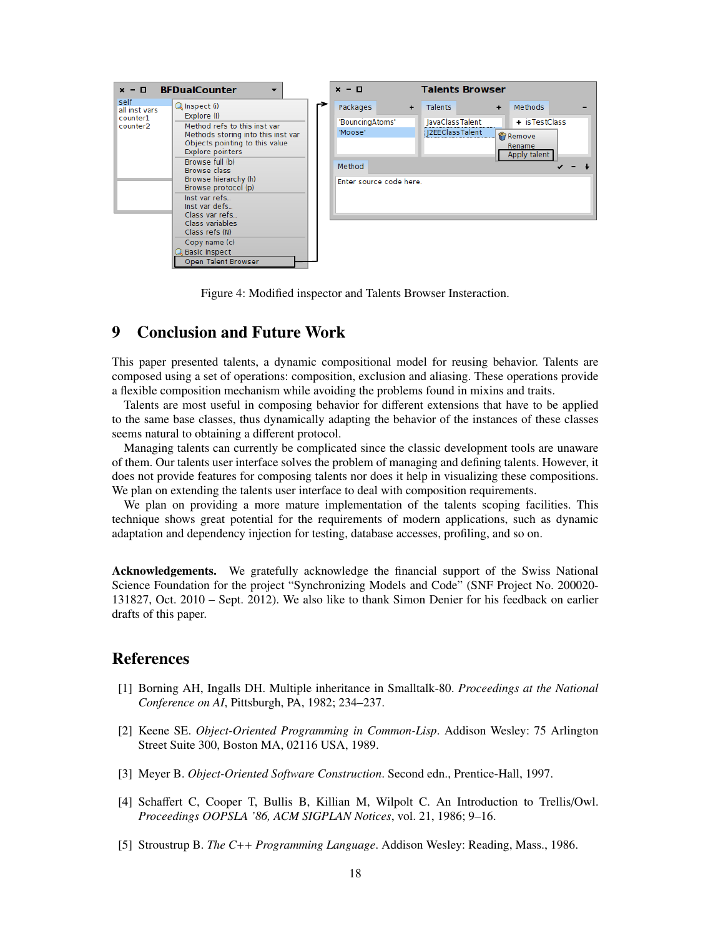

Figure 4: Modified inspector and Talents Browser Insteraction.

## 9 Conclusion and Future Work

This paper presented talents, a dynamic compositional model for reusing behavior. Talents are composed using a set of operations: composition, exclusion and aliasing. These operations provide a flexible composition mechanism while avoiding the problems found in mixins and traits.

Talents are most useful in composing behavior for different extensions that have to be applied to the same base classes, thus dynamically adapting the behavior of the instances of these classes seems natural to obtaining a different protocol.

Managing talents can currently be complicated since the classic development tools are unaware of them. Our talents user interface solves the problem of managing and defining talents. However, it does not provide features for composing talents nor does it help in visualizing these compositions. We plan on extending the talents user interface to deal with composition requirements.

We plan on providing a more mature implementation of the talents scoping facilities. This technique shows great potential for the requirements of modern applications, such as dynamic adaptation and dependency injection for testing, database accesses, profiling, and so on.

Acknowledgements. We gratefully acknowledge the financial support of the Swiss National Science Foundation for the project "Synchronizing Models and Code" (SNF Project No. 200020- 131827, Oct. 2010 – Sept. 2012). We also like to thank Simon Denier for his feedback on earlier drafts of this paper.

### References

- [1] Borning AH, Ingalls DH. Multiple inheritance in Smalltalk-80. *Proceedings at the National Conference on AI*, Pittsburgh, PA, 1982; 234–237.
- [2] Keene SE. *Object-Oriented Programming in Common-Lisp*. Addison Wesley: 75 Arlington Street Suite 300, Boston MA, 02116 USA, 1989.
- [3] Meyer B. *Object-Oriented Software Construction*. Second edn., Prentice-Hall, 1997.
- [4] Schaffert C, Cooper T, Bullis B, Killian M, Wilpolt C. An Introduction to Trellis/Owl. *Proceedings OOPSLA '86, ACM SIGPLAN Notices*, vol. 21, 1986; 9–16.
- [5] Stroustrup B. *The C*++ *Programming Language*. Addison Wesley: Reading, Mass., 1986.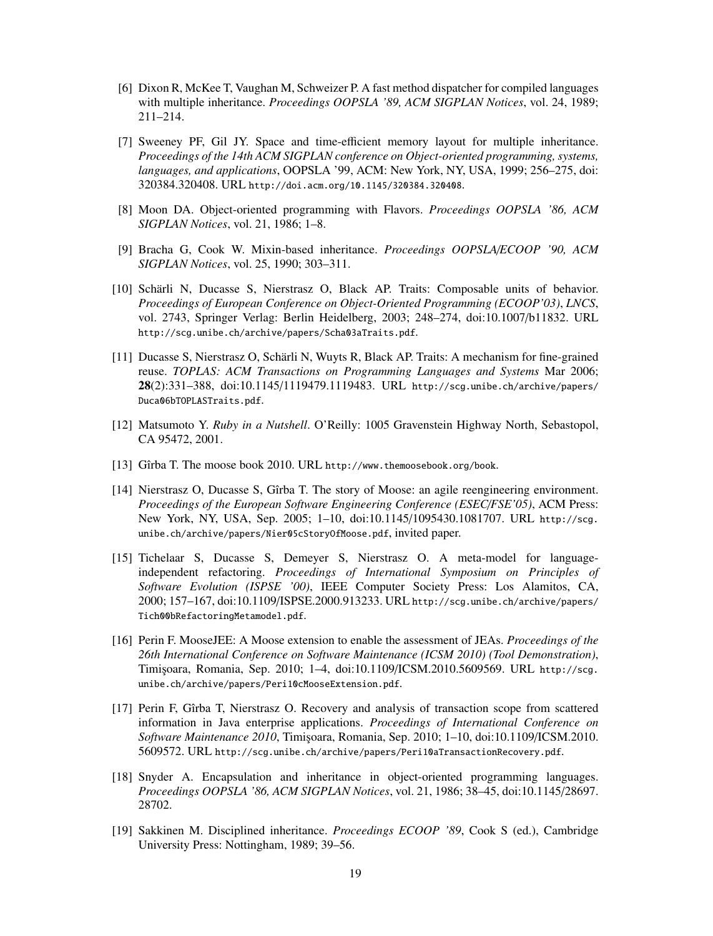- [6] Dixon R, McKee T, Vaughan M, Schweizer P. A fast method dispatcher for compiled languages with multiple inheritance. *Proceedings OOPSLA '89, ACM SIGPLAN Notices*, vol. 24, 1989; 211–214.
- [7] Sweeney PF, Gil JY. Space and time-efficient memory layout for multiple inheritance. *Proceedings of the 14th ACM SIGPLAN conference on Object-oriented programming, systems, languages, and applications*, OOPSLA '99, ACM: New York, NY, USA, 1999; 256–275, doi: 320384.320408. URL <http://doi.acm.org/10.1145/320384.320408>.
- [8] Moon DA. Object-oriented programming with Flavors. *Proceedings OOPSLA '86, ACM SIGPLAN Notices*, vol. 21, 1986; 1–8.
- [9] Bracha G, Cook W. Mixin-based inheritance. *Proceedings OOPSLA*/*ECOOP '90, ACM SIGPLAN Notices*, vol. 25, 1990; 303–311.
- [10] Schärli N, Ducasse S, Nierstrasz O, Black AP. Traits: Composable units of behavior. *Proceedings of European Conference on Object-Oriented Programming (ECOOP'03)*, *LNCS*, vol. 2743, Springer Verlag: Berlin Heidelberg, 2003; 248–274, doi:10.1007/b11832. URL <http://scg.unibe.ch/archive/papers/Scha03aTraits.pdf>.
- [11] Ducasse S, Nierstrasz O, Schärli N, Wuyts R, Black AP. Traits: A mechanism for fine-grained reuse. *TOPLAS: ACM Transactions on Programming Languages and Systems* Mar 2006; 28(2):331–388, doi:10.1145/1119479.1119483. URL [http://scg.unibe.ch/archive/papers/](http://scg.unibe.ch/archive/papers/Duca06bTOPLASTraits.pdf) [Duca06bTOPLASTraits.pdf](http://scg.unibe.ch/archive/papers/Duca06bTOPLASTraits.pdf).
- [12] Matsumoto Y. *Ruby in a Nutshell*. O'Reilly: 1005 Gravenstein Highway North, Sebastopol, CA 95472, 2001.
- [13] Gîrba T. The moose book 2010. URL <http://www.themoosebook.org/book>.
- [14] Nierstrasz O, Ducasse S, Gîrba T. The story of Moose: an agile reengineering environment. *Proceedings of the European Software Engineering Conference (ESEC*/*FSE'05)*, ACM Press: New York, NY, USA, Sep. 2005; 1–10, doi:10.1145/1095430.1081707. URL [http://scg.](http://scg.unibe.ch/archive/papers/Nier05cStoryOfMoose.pdf) [unibe.ch/archive/papers/Nier05cStoryOfMoose.pdf](http://scg.unibe.ch/archive/papers/Nier05cStoryOfMoose.pdf), invited paper.
- [15] Tichelaar S, Ducasse S, Demeyer S, Nierstrasz O. A meta-model for languageindependent refactoring. *Proceedings of International Symposium on Principles of Software Evolution (ISPSE '00)*, IEEE Computer Society Press: Los Alamitos, CA, 2000; 157–167, doi:10.1109/ISPSE.2000.913233. URL [http://scg.unibe.ch/archive/papers/](http://scg.unibe.ch/archive/papers/Tich00bRefactoringMetamodel.pdf) [Tich00bRefactoringMetamodel.pdf](http://scg.unibe.ch/archive/papers/Tich00bRefactoringMetamodel.pdf).
- [16] Perin F. MooseJEE: A Moose extension to enable the assessment of JEAs. *Proceedings of the 26th International Conference on Software Maintenance (ICSM 2010) (Tool Demonstration)*, Timis¸oara, Romania, Sep. 2010; 1–4, doi:10.1109/ICSM.2010.5609569. URL [http://scg.](http://scg.unibe.ch/archive/papers/Peri10cMooseExtension.pdf) [unibe.ch/archive/papers/Peri10cMooseExtension.pdf](http://scg.unibe.ch/archive/papers/Peri10cMooseExtension.pdf).
- [17] Perin F, Gîrba T, Nierstrasz O. Recovery and analysis of transaction scope from scattered information in Java enterprise applications. *Proceedings of International Conference on Software Maintenance 2010*, Timișoara, Romania, Sep. 2010; 1–10, doi:10.1109/ICSM.2010. 5609572. URL <http://scg.unibe.ch/archive/papers/Peri10aTransactionRecovery.pdf>.
- [18] Snyder A. Encapsulation and inheritance in object-oriented programming languages. *Proceedings OOPSLA '86, ACM SIGPLAN Notices*, vol. 21, 1986; 38–45, doi:10.1145/28697. 28702.
- [19] Sakkinen M. Disciplined inheritance. *Proceedings ECOOP '89*, Cook S (ed.), Cambridge University Press: Nottingham, 1989; 39–56.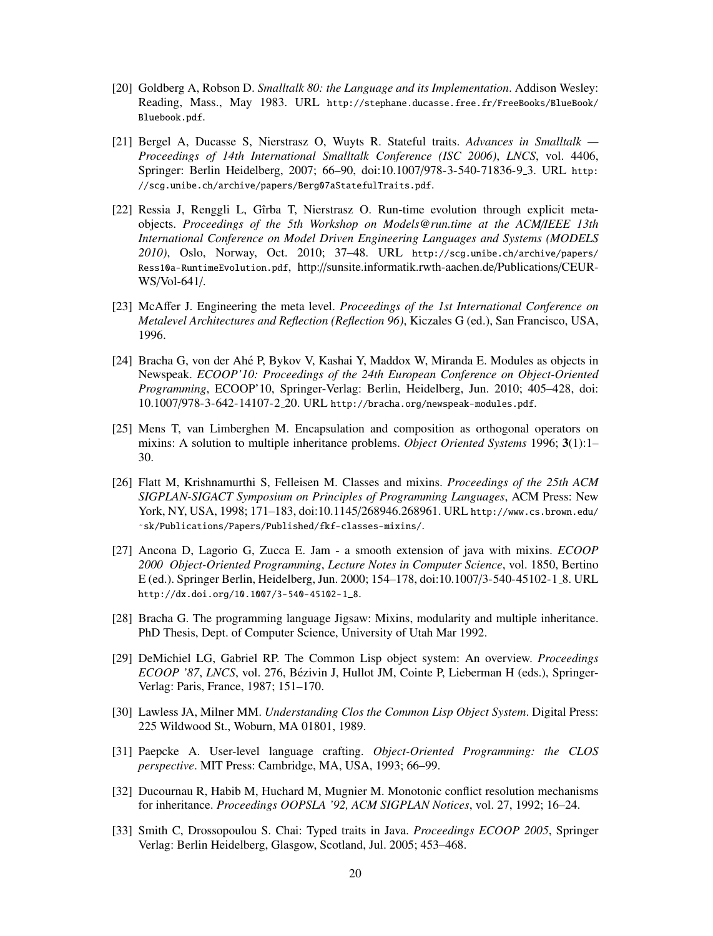- [20] Goldberg A, Robson D. *Smalltalk 80: the Language and its Implementation*. Addison Wesley: Reading, Mass., May 1983. URL [http://stephane.ducasse.free.fr/FreeBooks/BlueBook/](http://stephane.ducasse.free.fr/FreeBooks/BlueBook/Bluebook.pdf) [Bluebook.pdf](http://stephane.ducasse.free.fr/FreeBooks/BlueBook/Bluebook.pdf).
- [21] Bergel A, Ducasse S, Nierstrasz O, Wuyts R. Stateful traits. *Advances in Smalltalk — Proceedings of 14th International Smalltalk Conference (ISC 2006)*, *LNCS*, vol. 4406, Springer: Berlin Heidelberg, 2007; 66–90, doi:10.1007/978-3-540-71836-9 3. URL [http:](http://scg.unibe.ch/archive/papers/Berg07aStatefulTraits.pdf) [//scg.unibe.ch/archive/papers/Berg07aStatefulTraits.pdf](http://scg.unibe.ch/archive/papers/Berg07aStatefulTraits.pdf).
- [22] Ressia J, Renggli L, Gˆırba T, Nierstrasz O. Run-time evolution through explicit metaobjects. *Proceedings of the 5th Workshop on Models@run.time at the ACM*/*IEEE 13th International Conference on Model Driven Engineering Languages and Systems (MODELS 2010)*, Oslo, Norway, Oct. 2010; 37–48. URL [http://scg.unibe.ch/archive/papers/](http://scg.unibe.ch/archive/papers/Ress10a-RuntimeEvolution.pdf) [Ress10a-RuntimeEvolution.pdf](http://scg.unibe.ch/archive/papers/Ress10a-RuntimeEvolution.pdf), http://sunsite.informatik.rwth-aachen.de/Publications/CEUR-WS/Vol-641/.
- [23] McAffer J. Engineering the meta level. *Proceedings of the 1st International Conference on Metalevel Architectures and Reflection (Reflection 96)*, Kiczales G (ed.), San Francisco, USA, 1996.
- [24] Bracha G, von der Ahe P, Bykov V, Kashai Y, Maddox W, Miranda E. Modules as objects in ´ Newspeak. *ECOOP'10: Proceedings of the 24th European Conference on Object-Oriented Programming*, ECOOP'10, Springer-Verlag: Berlin, Heidelberg, Jun. 2010; 405–428, doi: 10.1007/978-3-642-14107-2 20. URL <http://bracha.org/newspeak-modules.pdf>.
- [25] Mens T, van Limberghen M. Encapsulation and composition as orthogonal operators on mixins: A solution to multiple inheritance problems. *Object Oriented Systems* 1996; 3(1):1– 30.
- [26] Flatt M, Krishnamurthi S, Felleisen M. Classes and mixins. *Proceedings of the 25th ACM SIGPLAN-SIGACT Symposium on Principles of Programming Languages*, ACM Press: New York, NY, USA, 1998; 171–183, doi:10.1145/268946.268961. URL [http://www.cs.brown.edu/](http://www.cs.brown.edu/~sk/Publications/Papers/Published/fkf-classes-mixins/) [˜sk/Publications/Papers/Published/fkf-classes-mixins/](http://www.cs.brown.edu/~sk/Publications/Papers/Published/fkf-classes-mixins/).
- [27] Ancona D, Lagorio G, Zucca E. Jam a smooth extension of java with mixins. *ECOOP 2000 Object-Oriented Programming*, *Lecture Notes in Computer Science*, vol. 1850, Bertino E (ed.). Springer Berlin, Heidelberg, Jun. 2000; 154–178, doi:10.1007/3-540-45102-1 8. URL [http://dx.doi.org/10.1007/3-540-45102-1\\_8](http://dx.doi.org/10.1007/3-540-45102-1_8).
- [28] Bracha G. The programming language Jigsaw: Mixins, modularity and multiple inheritance. PhD Thesis, Dept. of Computer Science, University of Utah Mar 1992.
- [29] DeMichiel LG, Gabriel RP. The Common Lisp object system: An overview. *Proceedings ECOOP '87*, *LNCS*, vol. 276, Bezivin J, Hullot JM, Cointe P, Lieberman H (eds.), Springer- ´ Verlag: Paris, France, 1987; 151–170.
- [30] Lawless JA, Milner MM. *Understanding Clos the Common Lisp Object System*. Digital Press: 225 Wildwood St., Woburn, MA 01801, 1989.
- [31] Paepcke A. User-level language crafting. *Object-Oriented Programming: the CLOS perspective*. MIT Press: Cambridge, MA, USA, 1993; 66–99.
- [32] Ducournau R, Habib M, Huchard M, Mugnier M. Monotonic conflict resolution mechanisms for inheritance. *Proceedings OOPSLA '92, ACM SIGPLAN Notices*, vol. 27, 1992; 16–24.
- [33] Smith C, Drossopoulou S. Chai: Typed traits in Java. *Proceedings ECOOP 2005*, Springer Verlag: Berlin Heidelberg, Glasgow, Scotland, Jul. 2005; 453–468.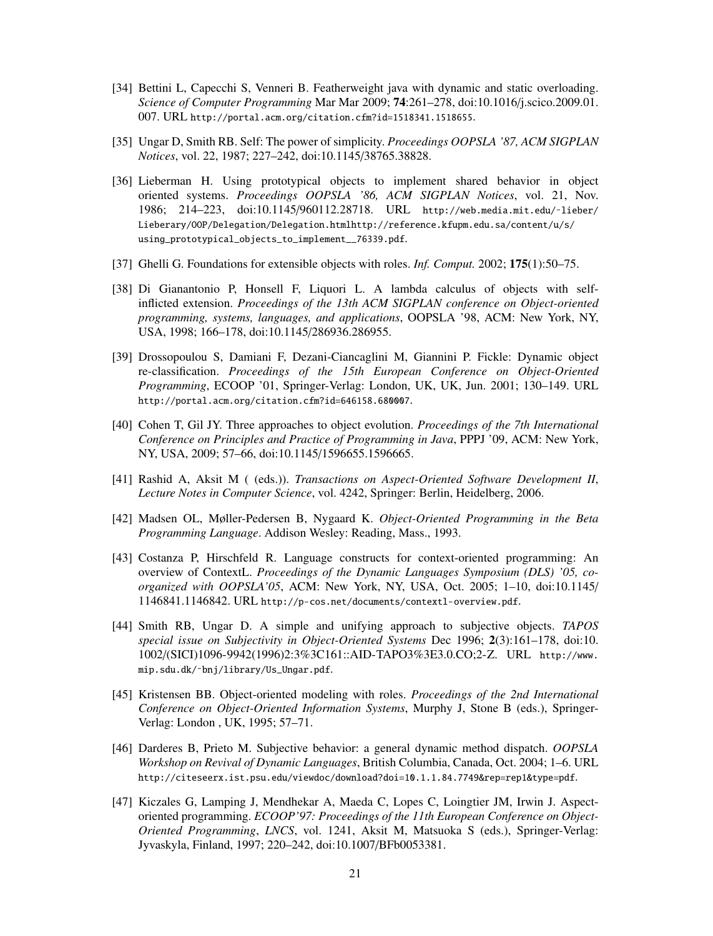- [34] Bettini L, Capecchi S, Venneri B. Featherweight java with dynamic and static overloading. *Science of Computer Programming* Mar Mar 2009; 74:261–278, doi:10.1016/j.scico.2009.01. 007. URL <http://portal.acm.org/citation.cfm?id=1518341.1518655>.
- [35] Ungar D, Smith RB. Self: The power of simplicity. *Proceedings OOPSLA '87, ACM SIGPLAN Notices*, vol. 22, 1987; 227–242, doi:10.1145/38765.38828.
- [36] Lieberman H. Using prototypical objects to implement shared behavior in object oriented systems. *Proceedings OOPSLA '86, ACM SIGPLAN Notices*, vol. 21, Nov. 1986; 214–223, doi:10.1145/960112.28718. URL [http://web.media.mit.edu/˜lieber/](http://web.media.mit.edu/~lieber/Lieberary/OOP/Delegation/Delegation.html http://reference.kfupm.edu.sa/content/u/s/using_prototypical_objects_to_implement__76339.pdf) [Lieberary/OOP/Delegation/Delegation.htmlhttp://reference.kfupm.edu.sa/content/u/s/](http://web.media.mit.edu/~lieber/Lieberary/OOP/Delegation/Delegation.html http://reference.kfupm.edu.sa/content/u/s/using_prototypical_objects_to_implement__76339.pdf) [using\\_prototypical\\_objects\\_to\\_implement\\_\\_76339.pdf](http://web.media.mit.edu/~lieber/Lieberary/OOP/Delegation/Delegation.html http://reference.kfupm.edu.sa/content/u/s/using_prototypical_objects_to_implement__76339.pdf).
- [37] Ghelli G. Foundations for extensible objects with roles. *Inf. Comput.* 2002; 175(1):50–75.
- [38] Di Gianantonio P, Honsell F, Liquori L. A lambda calculus of objects with selfinflicted extension. *Proceedings of the 13th ACM SIGPLAN conference on Object-oriented programming, systems, languages, and applications*, OOPSLA '98, ACM: New York, NY, USA, 1998; 166–178, doi:10.1145/286936.286955.
- [39] Drossopoulou S, Damiani F, Dezani-Ciancaglini M, Giannini P. Fickle: Dynamic object re-classification. *Proceedings of the 15th European Conference on Object-Oriented Programming*, ECOOP '01, Springer-Verlag: London, UK, UK, Jun. 2001; 130–149. URL <http://portal.acm.org/citation.cfm?id=646158.680007>.
- [40] Cohen T, Gil JY. Three approaches to object evolution. *Proceedings of the 7th International Conference on Principles and Practice of Programming in Java*, PPPJ '09, ACM: New York, NY, USA, 2009; 57-66, doi:10.1145/1596655.1596665.
- [41] Rashid A, Aksit M ( (eds.)). *Transactions on Aspect-Oriented Software Development II*, *Lecture Notes in Computer Science*, vol. 4242, Springer: Berlin, Heidelberg, 2006.
- [42] Madsen OL, Møller-Pedersen B, Nygaard K. *Object-Oriented Programming in the Beta Programming Language*. Addison Wesley: Reading, Mass., 1993.
- [43] Costanza P, Hirschfeld R. Language constructs for context-oriented programming: An overview of ContextL. *Proceedings of the Dynamic Languages Symposium (DLS) '05, coorganized with OOPSLA'05*, ACM: New York, NY, USA, Oct. 2005; 1–10, doi:10.1145/ 1146841.1146842. URL <http://p-cos.net/documents/contextl-overview.pdf>.
- [44] Smith RB, Ungar D. A simple and unifying approach to subjective objects. *TAPOS special issue on Subjectivity in Object-Oriented Systems* Dec 1996; 2(3):161–178, doi:10. 1002/(SICI)1096-9942(1996)2:3%3C161::AID-TAPO3%3E3.0.CO;2-Z. URL [http://www.](http://www.mip.sdu.dk/~bnj/library/Us_Ungar.pdf) [mip.sdu.dk/˜bnj/library/Us\\_Ungar.pdf](http://www.mip.sdu.dk/~bnj/library/Us_Ungar.pdf).
- [45] Kristensen BB. Object-oriented modeling with roles. *Proceedings of the 2nd International Conference on Object-Oriented Information Systems*, Murphy J, Stone B (eds.), Springer-Verlag: London , UK, 1995; 57–71.
- [46] Darderes B, Prieto M. Subjective behavior: a general dynamic method dispatch. *OOPSLA Workshop on Revival of Dynamic Languages*, British Columbia, Canada, Oct. 2004; 1–6. URL <http://citeseerx.ist.psu.edu/viewdoc/download?doi=10.1.1.84.7749&rep=rep1&type=pdf>.
- [47] Kiczales G, Lamping J, Mendhekar A, Maeda C, Lopes C, Loingtier JM, Irwin J. Aspectoriented programming. *ECOOP'97: Proceedings of the 11th European Conference on Object-Oriented Programming*, *LNCS*, vol. 1241, Aksit M, Matsuoka S (eds.), Springer-Verlag: Jyvaskyla, Finland, 1997; 220–242, doi:10.1007/BFb0053381.